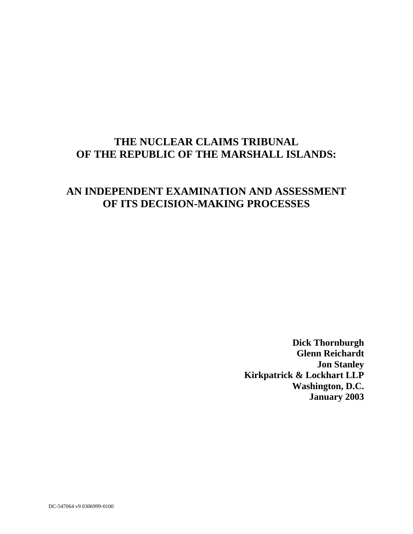# **THE NUCLEAR CLAIMS TRIBUNAL OF THE REPUBLIC OF THE MARSHALL ISLANDS:**

## **AN INDEPENDENT EXAMINATION AND ASSESSMENT OF ITS DECISION-MAKING PROCESSES**

**Dick Thornburgh Glenn Reichardt Jon Stanley Kirkpatrick & Lockhart LLP Washington, D.C. January 2003**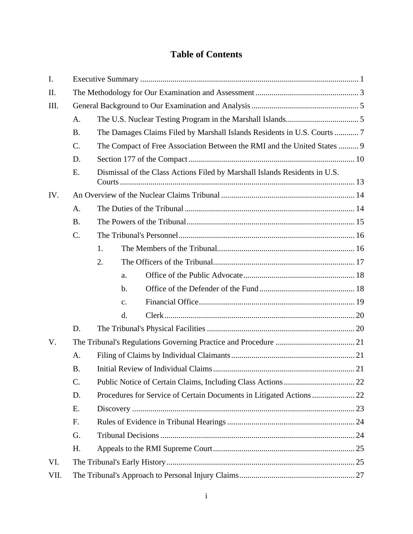## **Table of Contents**

|     |    | The Damages Claims Filed by Marshall Islands Residents in U.S. Courts  7                    |
|-----|----|---------------------------------------------------------------------------------------------|
|     |    | The Compact of Free Association Between the RMI and the United States  9                    |
|     |    |                                                                                             |
|     |    | Dismissal of the Class Actions Filed by Marshall Islands Residents in U.S.<br><b>Courts</b> |
| IV. |    |                                                                                             |
|     |    |                                                                                             |
|     |    |                                                                                             |
|     |    |                                                                                             |
|     |    |                                                                                             |
|     |    | $\bigcap$                                                                                   |
|     |    |                                                                                             |
|     |    |                                                                                             |
|     |    | $\mathbf{C}$                                                                                |
|     |    |                                                                                             |
|     |    |                                                                                             |
| V.  |    |                                                                                             |
|     | A. |                                                                                             |
|     |    |                                                                                             |
|     |    |                                                                                             |
|     | D. |                                                                                             |
|     |    |                                                                                             |
|     |    |                                                                                             |
|     |    |                                                                                             |
|     | G. |                                                                                             |
|     | Н. |                                                                                             |
| VI. |    |                                                                                             |
|     |    |                                                                                             |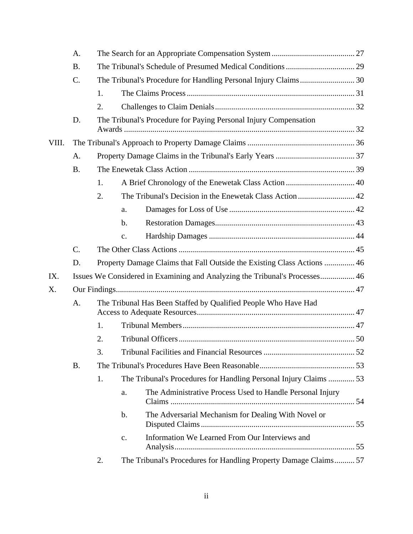|     |    | 2.                                                                          |
|-----|----|-----------------------------------------------------------------------------|
|     | D. | The Tribunal's Procedure for Paying Personal Injury Compensation            |
|     |    |                                                                             |
|     |    |                                                                             |
|     |    |                                                                             |
|     |    |                                                                             |
|     |    | $\gamma$                                                                    |
|     |    | a.                                                                          |
|     |    | $b$ .                                                                       |
|     |    | c.                                                                          |
|     |    |                                                                             |
|     | D. | Property Damage Claims that Fall Outside the Existing Class Actions  46     |
| IX. |    | Issues We Considered in Examining and Analyzing the Tribunal's Processes 46 |
| Х.  |    |                                                                             |
|     | А. | The Tribunal Has Been Staffed by Qualified People Who Have Had              |
|     |    |                                                                             |
|     |    |                                                                             |
|     |    |                                                                             |
|     |    | C.                                                                          |
|     | Β. |                                                                             |
|     |    | The Tribunal's Procedures for Handling Personal Injury Claims  53           |
|     |    | The Administrative Process Used to Handle Personal Injury<br>a.             |
|     |    | The Adversarial Mechanism for Dealing With Novel or<br>b.                   |
|     |    | Information We Learned From Our Interviews and<br>$\mathbf{C}$ .            |
|     |    | The Tribunal's Procedures for Handling Property Damage Claims 57<br>2.      |
|     |    |                                                                             |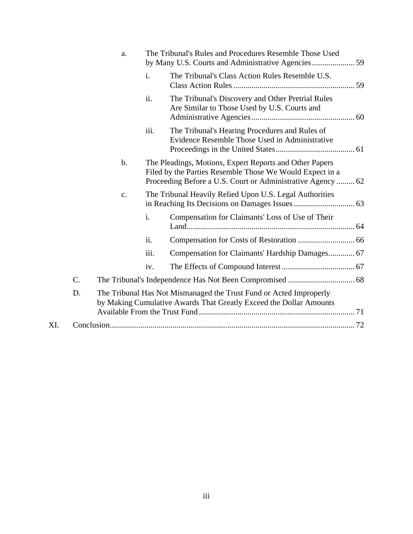|     | <b>a</b> . |      | The Tribunal's Rules and Procedures Resemble Those Used                                                                                                                            |
|-----|------------|------|------------------------------------------------------------------------------------------------------------------------------------------------------------------------------------|
|     |            |      | The Tribunal's Class Action Rules Resemble U.S.                                                                                                                                    |
|     |            | ii.  | The Tribunal's Discovery and Other Pretrial Rules<br>Are Similar to Those Used by U.S. Courts and                                                                                  |
|     |            | iii. | The Tribunal's Hearing Procedures and Rules of<br>Evidence Resemble Those Used in Administrative                                                                                   |
|     | b.         |      | The Pleadings, Motions, Expert Reports and Other Papers<br>Filed by the Parties Resemble Those We Would Expect in a<br>Proceeding Before a U.S. Court or Administrative Agency  62 |
|     | c.         |      | The Tribunal Heavily Relied Upon U.S. Legal Authorities                                                                                                                            |
|     |            |      | Compensation for Claimants' Loss of Use of Their                                                                                                                                   |
|     |            | 11.  |                                                                                                                                                                                    |
|     |            | iii. | Compensation for Claimants' Hardship Damages 67                                                                                                                                    |
|     |            | iv.  |                                                                                                                                                                                    |
|     |            |      |                                                                                                                                                                                    |
|     |            |      | The Tribunal Has Not Mismanaged the Trust Fund or Acted Improperly<br>by Making Cumulative Awards That Greatly Exceed the Dollar Amounts                                           |
| XI. |            |      |                                                                                                                                                                                    |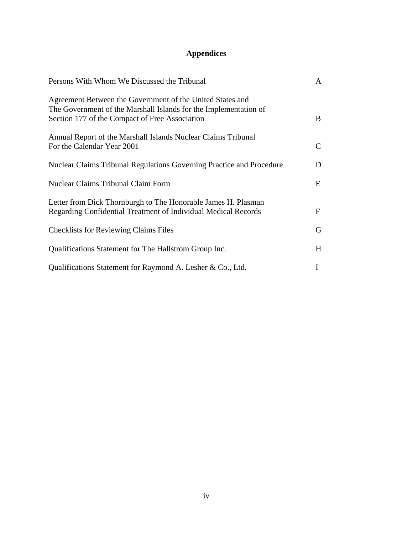## **Appendices**

| Persons With Whom We Discussed the Tribunal                                                                                                                                     |  |
|---------------------------------------------------------------------------------------------------------------------------------------------------------------------------------|--|
| Agreement Between the Government of the United States and<br>The Government of the Marshall Islands for the Implementation of<br>Section 177 of the Compact of Free Association |  |
| Annual Report of the Marshall Islands Nuclear Claims Tribunal<br>For the Calendar Year 2001                                                                                     |  |
| Nuclear Claims Tribunal Regulations Governing Practice and Procedure                                                                                                            |  |
| Nuclear Claims Tribunal Claim Form                                                                                                                                              |  |
| Letter from Dick Thornburgh to The Honorable James H. Plasman<br>Regarding Confidential Treatment of Individual Medical Records                                                 |  |
| <b>Checklists for Reviewing Claims Files</b>                                                                                                                                    |  |
| Qualifications Statement for The Hallstrom Group Inc.                                                                                                                           |  |
| Qualifications Statement for Raymond A. Lesher & Co., Ltd.                                                                                                                      |  |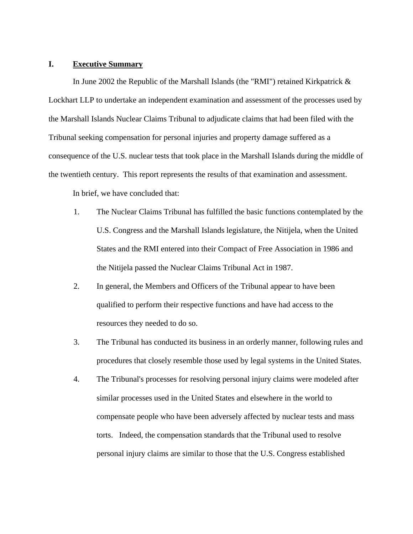#### **I. Executive Summary**

In June 2002 the Republic of the Marshall Islands (the "RMI") retained Kirkpatrick & Lockhart LLP to undertake an independent examination and assessment of the processes used by the Marshall Islands Nuclear Claims Tribunal to adjudicate claims that had been filed with the Tribunal seeking compensation for personal injuries and property damage suffered as a consequence of the U.S. nuclear tests that took place in the Marshall Islands during the middle of the twentieth century. This report represents the results of that examination and assessment.

In brief, we have concluded that:

- 1. The Nuclear Claims Tribunal has fulfilled the basic functions contemplated by the U.S. Congress and the Marshall Islands legislature, the Nitijela, when the United States and the RMI entered into their Compact of Free Association in 1986 and the Nitijela passed the Nuclear Claims Tribunal Act in 1987.
- 2. In general, the Members and Officers of the Tribunal appear to have been qualified to perform their respective functions and have had access to the resources they needed to do so.
- 3. The Tribunal has conducted its business in an orderly manner, following rules and procedures that closely resemble those used by legal systems in the United States.
- 4. The Tribunal's processes for resolving personal injury claims were modeled after similar processes used in the United States and elsewhere in the world to compensate people who have been adversely affected by nuclear tests and mass torts. Indeed, the compensation standards that the Tribunal used to resolve personal injury claims are similar to those that the U.S. Congress established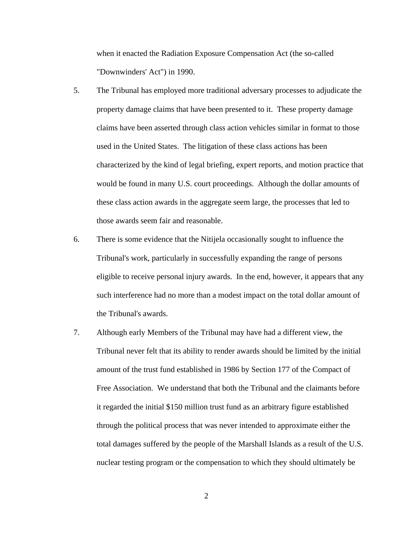when it enacted the Radiation Exposure Compensation Act (the so-called "Downwinders' Act") in 1990.

- 5. The Tribunal has employed more traditional adversary processes to adjudicate the property damage claims that have been presented to it. These property damage claims have been asserted through class action vehicles similar in format to those used in the United States. The litigation of these class actions has been characterized by the kind of legal briefing, expert reports, and motion practice that would be found in many U.S. court proceedings. Although the dollar amounts of these class action awards in the aggregate seem large, the processes that led to those awards seem fair and reasonable.
- 6. There is some evidence that the Nitijela occasionally sought to influence the Tribunal's work, particularly in successfully expanding the range of persons eligible to receive personal injury awards. In the end, however, it appears that any such interference had no more than a modest impact on the total dollar amount of the Tribunal's awards.
- 7. Although early Members of the Tribunal may have had a different view, the Tribunal never felt that its ability to render awards should be limited by the initial amount of the trust fund established in 1986 by Section 177 of the Compact of Free Association. We understand that both the Tribunal and the claimants before it regarded the initial \$150 million trust fund as an arbitrary figure established through the political process that was never intended to approximate either the total damages suffered by the people of the Marshall Islands as a result of the U.S. nuclear testing program or the compensation to which they should ultimately be

2 a set of  $\sim$  2 a set of  $\sim$  2 a set of  $\sim$  2 a set of  $\sim$  3 a set of  $\sim$  3 a set of  $\sim$  3 a set of  $\sim$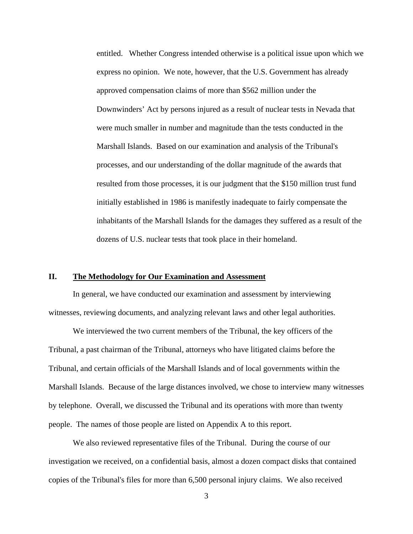entitled. Whether Congress intended otherwise is a political issue upon which we express no opinion. We note, however, that the U.S. Government has already approved compensation claims of more than \$562 million under the Downwinders' Act by persons injured as a result of nuclear tests in Nevada that were much smaller in number and magnitude than the tests conducted in the Marshall Islands. Based on our examination and analysis of the Tribunal's processes, and our understanding of the dollar magnitude of the awards that resulted from those processes, it is our judgment that the \$150 million trust fund initially established in 1986 is manifestly inadequate to fairly compensate the inhabitants of the Marshall Islands for the damages they suffered as a result of the dozens of U.S. nuclear tests that took place in their homeland.

#### **II. The Methodology for Our Examination and Assessment**

In general, we have conducted our examination and assessment by interviewing witnesses, reviewing documents, and analyzing relevant laws and other legal authorities.

We interviewed the two current members of the Tribunal, the key officers of the Tribunal, a past chairman of the Tribunal, attorneys who have litigated claims before the Tribunal, and certain officials of the Marshall Islands and of local governments within the Marshall Islands. Because of the large distances involved, we chose to interview many witnesses by telephone. Overall, we discussed the Tribunal and its operations with more than twenty people. The names of those people are listed on Appendix A to this report.

We also reviewed representative files of the Tribunal. During the course of our investigation we received, on a confidential basis, almost a dozen compact disks that contained copies of the Tribunal's files for more than 6,500 personal injury claims. We also received

3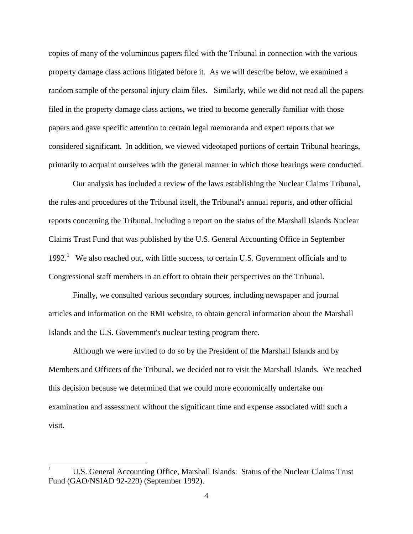copies of many of the voluminous papers filed with the Tribunal in connection with the various property damage class actions litigated before it. As we will describe below, we examined a random sample of the personal injury claim files. Similarly, while we did not read all the papers filed in the property damage class actions, we tried to become generally familiar with those papers and gave specific attention to certain legal memoranda and expert reports that we considered significant. In addition, we viewed videotaped portions of certain Tribunal hearings, primarily to acquaint ourselves with the general manner in which those hearings were conducted.

Our analysis has included a review of the laws establishing the Nuclear Claims Tribunal, the rules and procedures of the Tribunal itself, the Tribunal's annual reports, and other official reports concerning the Tribunal, including a report on the status of the Marshall Islands Nuclear Claims Trust Fund that was published by the U.S. General Accounting Office in September 1992.<sup>1</sup> We also reached out, with little success, to certain U.S. Government officials and to Congressional staff members in an effort to obtain their perspectives on the Tribunal.

Finally, we consulted various secondary sources, including newspaper and journal articles and information on the RMI website, to obtain general information about the Marshall Islands and the U.S. Government's nuclear testing program there.

Although we were invited to do so by the President of the Marshall Islands and by Members and Officers of the Tribunal, we decided not to visit the Marshall Islands. We reached this decision because we determined that we could more economically undertake our examination and assessment without the significant time and expense associated with such a visit.

 <sup>1</sup> U.S. General Accounting Office, Marshall Islands: Status of the Nuclear Claims Trust Fund (GAO/NSIAD 92-229) (September 1992).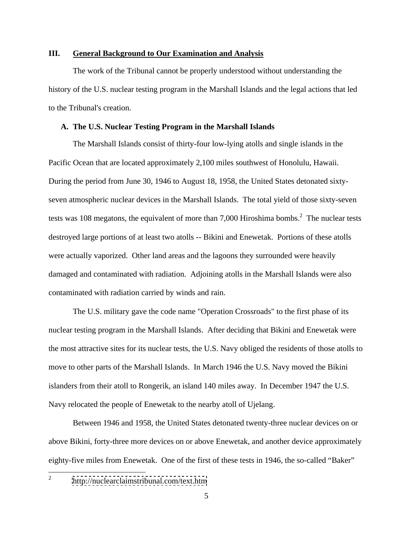## **III. General Background to Our Examination and Analysis**

The work of the Tribunal cannot be properly understood without understanding the history of the U.S. nuclear testing program in the Marshall Islands and the legal actions that led to the Tribunal's creation.

#### **A. The U.S. Nuclear Testing Program in the Marshall Islands**

The Marshall Islands consist of thirty-four low-lying atolls and single islands in the Pacific Ocean that are located approximately 2,100 miles southwest of Honolulu, Hawaii. During the period from June 30, 1946 to August 18, 1958, the United States detonated sixty seven atmospheric nuclear devices in the Marshall Islands. The total yield of those sixty-seven tests was 108 megatons, the equivalent of more than 7,000 Hiroshima bombs.<sup>2</sup> The nuclear tests destroyed large portions of at least two atolls -- Bikini and Enewetak. Portions of these atolls were actually vaporized. Other land areas and the lagoons they surrounded were heavily damaged and contaminated with radiation. Adjoining atolls in the Marshall Islands were also contaminated with radiation carried by winds and rain.

The U.S. military gave the code name "Operation Crossroads" to the first phase of its nuclear testing program in the Marshall Islands. After deciding that Bikini and Enewetak were the most attractive sites for its nuclear tests, the U.S. Navy obliged the residents of those atolls to move to other parts of the Marshall Islands. In March 1946 the U.S. Navy moved the Bikini islanders from their atoll to Rongerik, an island 140 miles away. In December 1947 the U.S. Navy relocated the people of Enewetak to the nearby atoll of Ujelang.

Between 1946 and 1958, the United States detonated twenty-three nuclear devices on or above Bikini, forty-three more devices on or above Enewetak, and another device approximately eighty-five miles from Enewetak. One of the first of these tests in 1946, the so-called "Baker"

 $\frac{2}{2}$  http://puolographimatribunal.com/toxt.htm <http://nuclearclaimstribunal.com/text.htm>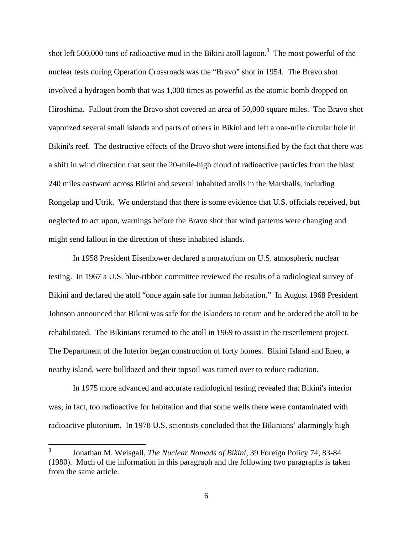shot left 500,000 tons of radioactive mud in the Bikini atoll lagoon.<sup>3</sup> The most powerful of the nuclear tests during Operation Crossroads was the "Bravo" shot in 1954. The Bravo shot involved a hydrogen bomb that was 1,000 times as powerful as the atomic bomb dropped on Hiroshima. Fallout from the Bravo shot covered an area of 50,000 square miles. The Bravo shot vaporized several small islands and parts of others in Bikini and left a one-mile circular hole in Bikini's reef. The destructive effects of the Bravo shot were intensified by the fact that there was a shift in wind direction that sent the 20-mile-high cloud of radioactive particles from the blast 240 miles eastward across Bikini and several inhabited atolls in the Marshalls, including Rongelap and Utrik. We understand that there is some evidence that U.S. officials received, but neglected to act upon, warnings before the Bravo shot that wind patterns were changing and might send fallout in the direction of these inhabited islands.

In 1958 President Eisenhower declared a moratorium on U.S. atmospheric nuclear testing. In 1967 a U.S. blue-ribbon committee reviewed the results of a radiological survey of Bikini and declared the atoll "once again safe for human habitation." In August 1968 President Johnson announced that Bikini was safe for the islanders to return and he ordered the atoll to be rehabilitated. The Bikinians returned to the atoll in 1969 to assist in the resettlement project. The Department of the Interior began construction of forty homes. Bikini Island and Eneu, a nearby island, were bulldozed and their topsoil was turned over to reduce radiation.

In 1975 more advanced and accurate radiological testing revealed that Bikini's interior was, in fact, too radioactive for habitation and that some wells there were contaminated with radioactive plutonium. In 1978 U.S. scientists concluded that the Bikinians' alarmingly high

 <sup>3</sup> Jonathan M. Weisgall, *The Nuclear Nomads of Bikini*, 39 Foreign Policy 74, 83-84 (1980). Much of the information in this paragraph and the following two paragraphs is taken from the same article.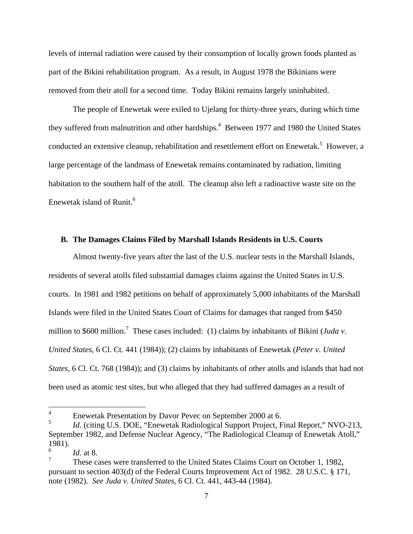levels of internal radiation were caused by their consumption of locally grown foods planted as part of the Bikini rehabilitation program. As a result, in August 1978 the Bikinians were removed from their atoll for a second time. Today Bikini remains largely uninhabited.

The people of Enewetak were exiled to Ujelang for thirty-three years, during which time they suffered from malnutrition and other hardships.<sup>4</sup> Between 1977 and 1980 the United States conducted an extensive cleanup, rehabilitation and resettlement effort on Enewetak.<sup>5</sup> However, a large percentage of the landmass of Enewetak remains contaminated by radiation, limiting habitation to the southern half of the atoll. The cleanup also left a radioactive waste site on the Enewetak island of Runit. $6 \times 10^{-6}$ 

#### **B. The Damages Claims Filed by Marshall Islands Residents in U.S. Courts**

Almost twenty-five years after the last of the U.S. nuclear tests in the Marshall Islands, residents of several atolls filed substantial damages claims against the United States in U.S. courts. In 1981 and 1982 petitions on behalf of approximately 5,000 inhabitants of the Marshall Islands were filed in the United States Court of Claims for damages that ranged from \$450 million to \$600 million.<sup>7</sup> These cases included: (1) claims by inhabitants of Bikini (*Juda v*. *United States*, 6 Cl. Ct. 441 (1984)); (2) claims by inhabitants of Enewetak (*Peter v. United States*, 6 Cl. Ct. 768 (1984)); and (3) claims by inhabitants of other atolls and islands that had not been used as atomic test sites, but who alleged that they had suffered damages as a result of

<sup>&</sup>lt;sup>4</sup> Enewetak Presentation by Davor Pevec on September 2000 at 6.

<sup>&</sup>lt;sup>5</sup> *Id.* (citing U.S. DOE, "Enewetak Radiological Support Project, Final Report," NVO-213, September 1982, and Defense Nuclear Agency, "The Radiological Cleanup of Enewetak Atoll," 1981).  $\frac{6}{1}$  det 0

*Id.* at 8.

<sup>7</sup> These cases were transferred to the United States Claims Court on October 1, 1982, pursuant to section 403(d) of the Federal Courts Improvement Act of 1982. 28 U.S.C. § 171, note (1982). *See Juda v. United States*, 6 Cl. Ct. 441, 443-44 (1984).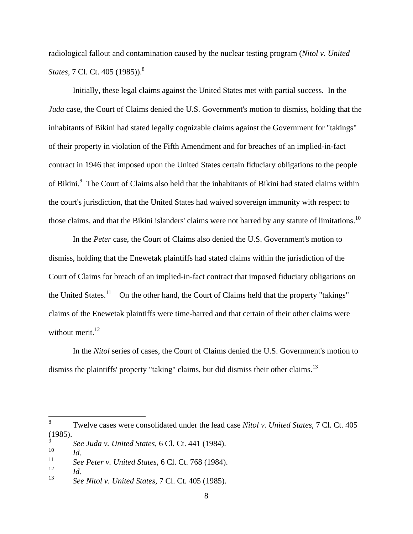radiological fallout and contamination caused by the nuclear testing program (*Nitol v. United States*, 7 Cl. Ct. 405 (1985)).<sup>8</sup>

Initially, these legal claims against the United States met with partial success. In the *Juda* case, the Court of Claims denied the U.S. Government's motion to dismiss, holding that the inhabitants of Bikini had stated legally cognizable claims against the Government for "takings" of their property in violation of the Fifth Amendment and for breaches of an implied-in-fact contract in 1946 that imposed upon the United States certain fiduciary obligations to the people of Bikini.<sup>9</sup> The Court of Claims also held that the inhabitants of Bikini had stated claims within the court's jurisdiction, that the United States had waived sovereign immunity with respect to those claims, and that the Bikini islanders' claims were not barred by any statute of limitations.<sup>10</sup>

In the *Peter* case, the Court of Claims also denied the U.S. Government's motion to dismiss, holding that the Enewetak plaintiffs had stated claims within the jurisdiction of the Court of Claims for breach of an implied-in-fact contract that imposed fiduciary obligations on the United States.<sup>11</sup> On the other hand, the Court of Claims held that the property "takings" claims of the Enewetak plaintiffs were time-barred and that certain of their other claims were without merit.<sup>12</sup>

In the *Nitol* series of cases, the Court of Claims denied the U.S. Government's motion to dismiss the plaintiffs' property "taking" claims, but did dismiss their other claims.<sup>13</sup>

<sup>&</sup>lt;sup>8</sup> Twelve cases were consolidated under the lead case *Nitol v. United States*, 7 Cl. Ct. 405 (1985). (1985).

<sup>9</sup> *See Juda v. United States*, 6 Cl. Ct. 441 (1984). <sup>10</sup> *Id.*

<sup>11</sup> *See Peter v. United States,* 6 Cl. Ct. 768 (1984).

<sup>12</sup> *Id.*

<sup>13</sup> *See Nitol v. United States,* 7 Cl. Ct. 405 (1985).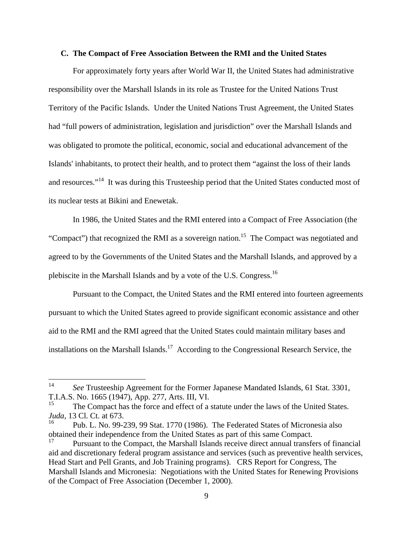#### **C. The Compact of Free Association Between the RMI and the United States**

For approximately forty years after World War II, the United States had administrative responsibility over the Marshall Islands in its role as Trustee for the United Nations Trust Territory of the Pacific Islands. Under the United Nations Trust Agreement, the United States had "full powers of administration, legislation and jurisdiction" over the Marshall Islands and was obligated to promote the political, economic, social and educational advancement of the Islands' inhabitants, to protect their health, and to protect them "against the loss of their lands and resources."<sup>14</sup> It was during this Trusteeship period that the United States conducted most of its nuclear tests at Bikini and Enewetak.

In 1986, the United States and the RMI entered into a Compact of Free Association (the "Compact") that recognized the RMI as a sovereign nation.<sup>15</sup> The Compact was negotiated and agreed to by the Governments of the United States and the Marshall Islands, and approved by a plebiscite in the Marshall Islands and by a vote of the U.S. Congress.16

 Pursuant to the Compact, the United States and the RMI entered into fourteen agreements pursuant to which the United States agreed to provide significant economic assistance and other aid to the RMI and the RMI agreed that the United States could maintain military bases and installations on the Marshall Islands.<sup>17</sup> According to the Congressional Research Service, the

<sup>&</sup>lt;sup>14</sup> See Trusteeship Agreement for the Former Japanese Mandated Islands, 61 Stat. 3301, T.I.A.S. No. 1665 (1947), App. 277, Arts. III, VI.

The Compact has the force and effect of a statute under the laws of the United States. *Juda*, 13 Cl. Ct. at 673.<br><sup>16</sup> Pub. L. No. 99-239, 99 Stat. 1770 (1986). The Federated States of Micronesia also

obtained their independence from the United States as part of this same Compact.

<sup>17</sup> Pursuant to the Compact, the Marshall Islands receive direct annual transfers of financial aid and discretionary federal program assistance and services (such as preventive health services, Head Start and Pell Grants, and Job Training programs). CRS Report for Congress, The Marshall Islands and Micronesia: Negotiations with the United States for Renewing Provisions of the Compact of Free Association (December 1, 2000).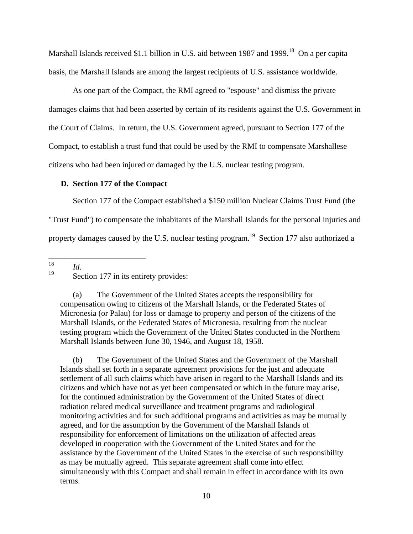Marshall Islands received \$1.1 billion in U.S. aid between 1987 and 1999.<sup>18</sup> On a per capita basis, the Marshall Islands are among the largest recipients of U.S. assistance worldwide.

As one part of the Compact, the RMI agreed to "espouse" and dismiss the private damages claims that had been asserted by certain of its residents against the U.S. Government in the Court of Claims. In return, the U.S. Government agreed, pursuant to Section 177 of the Compact, to establish a trust fund that could be used by the RMI to compensate Marshallese citizens who had been injured or damaged by the U.S. nuclear testing program.

#### **D. Section 177 of the Compact**

Section 177 of the Compact established a \$150 million Nuclear Claims Trust Fund (the

"Trust Fund") to compensate the inhabitants of the Marshall Islands for the personal injuries and

property damages caused by the U.S. nuclear testing program.<sup>19</sup> Section 177 also authorized a

18 *Id.*

<sup>19</sup> Section 177 in its entirety provides:

(a) The Government of the United States accepts the responsibility for compensation owing to citizens of the Marshall Islands, or the Federated States of Micronesia (or Palau) for loss or damage to property and person of the citizens of the Marshall Islands, or the Federated States of Micronesia, resulting from the nuclear testing program which the Government of the United States conducted in the Northern Marshall Islands between June 30, 1946, and August 18, 1958.

(b) The Government of the United States and the Government of the Marshall Islands shall set forth in a separate agreement provisions for the just and adequate settlement of all such claims which have arisen in regard to the Marshall Islands and its citizens and which have not as yet been compensated or which in the future may arise, for the continued administration by the Government of the United States of direct radiation related medical surveillance and treatment programs and radiological monitoring activities and for such additional programs and activities as may be mutually agreed, and for the assumption by the Government of the Marshall Islands of responsibility for enforcement of limitations on the utilization of affected areas developed in cooperation with the Government of the United States and for the assistance by the Government of the United States in the exercise of such responsibility as may be mutually agreed. This separate agreement shall come into effect simultaneously with this Compact and shall remain in effect in accordance with its own terms.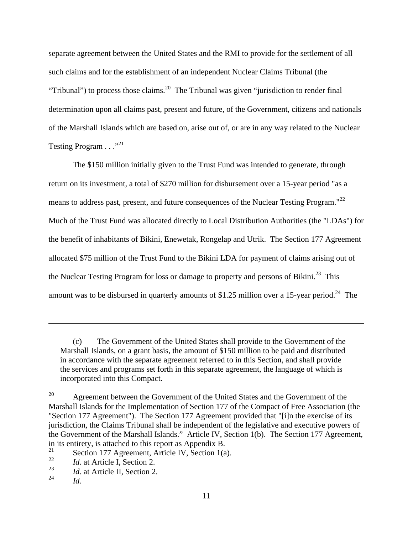separate agreement between the United States and the RMI to provide for the settlement of all such claims and for the establishment of an independent Nuclear Claims Tribunal (the "Tribunal") to process those claims.<sup>20</sup> The Tribunal was given "jurisdiction to render final determination upon all claims past, present and future, of the Government, citizens and nationals of the Marshall Islands which are based on, arise out of, or are in any way related to the Nuclear Testing Program . . ."<sup>21</sup>

The \$150 million initially given to the Trust Fund was intended to generate, through return on its investment, a total of \$270 million for disbursement over a 15-year period "as a means to address past, present, and future consequences of the Nuclear Testing Program."<sup>22</sup> Much of the Trust Fund was allocated directly to Local Distribution Authorities (the "LDAs") for the benefit of inhabitants of Bikini, Enewetak, Rongelap and Utrik. The Section 177 Agreement allocated \$75 million of the Trust Fund to the Bikini LDA for payment of claims arising out of the Nuclear Testing Program for loss or damage to property and persons of Bikini.<sup>23</sup> This amount was to be disbursed in quarterly amounts of \$1.25 million over a 15-year period.<sup>24</sup> The

 <sup>(</sup>c) The Government of the United States shall provide to the Government of the Marshall Islands, on a grant basis, the amount of \$150 million to be paid and distributed in accordance with the separate agreement referred to in this Section, and shall provide the services and programs set forth in this separate agreement, the language of which is incorporated into this Compact.

<sup>&</sup>lt;sup>20</sup> Agreement between the Government of the United States and the Government of the Marshall Islands for the Implementation of Section 177 of the Compact of Free Association (the "Section 177 Agreement"). The Section 177 Agreement provided that "[i]n the exercise of its jurisdiction, the Claims Tribunal shall be independent of the legislative and executive powers of the Government of the Marshall Islands." Article IV, Section 1(b). The Section 177 Agreement, in its entirety, is attached to this report as Appendix B.<br> $\frac{21}{21}$  Section 177 Agreement Article W. Section 16

<sup>&</sup>lt;sup>21</sup> Section 177 Agreement, Article IV, Section 1(a).

<sup>22</sup> *Id.* at Article I, Section 2.

<sup>23</sup> *Id.* at Article II, Section 2.

<sup>24</sup> *Id.*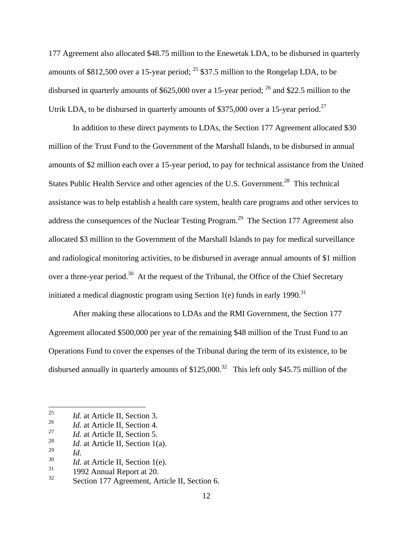177 Agreement also allocated \$48.75 million to the Enewetak LDA, to be disbursed in quarterly amounts of \$812,500 over a 15-year period;  $^{25}$  \$37.5 million to the Rongelap LDA, to be disbursed in quarterly amounts of \$625,000 over a 15-year period; <sup>26</sup> and \$22.5 million to the Utrik LDA, to be disbursed in quarterly amounts of \$375,000 over a 15-year period.<sup>27</sup>

In addition to these direct payments to LDAs, the Section 177 Agreement allocated \$30 million of the Trust Fund to the Government of the Marshall Islands, to be disbursed in annual amounts of \$2 million each over a 15-year period, to pay for technical assistance from the United States Public Health Service and other agencies of the U.S. Government.<sup>28</sup> This technical assistance was to help establish a health care system, health care programs and other services to address the consequences of the Nuclear Testing Program.<sup>29</sup> The Section 177 Agreement also allocated \$3 million to the Government of the Marshall Islands to pay for medical surveillance and radiological monitoring activities, to be disbursed in average annual amounts of \$1 million over a three-year period.<sup>30</sup> At the request of the Tribunal, the Office of the Chief Secretary initiated a medical diagnostic program using Section 1(e) funds in early 1990.<sup>31</sup>

After making these allocations to LDAs and the RMI Government, the Section 177 Agreement allocated \$500,000 per year of the remaining \$48 million of the Trust Fund to an Operations Fund to cover the expenses of the Tribunal during the term of its existence, to be disbursed annually in quarterly amounts of  $$125,000.<sup>32</sup>$  This left only \$45.75 million of the

 <sup>25</sup> *Id.* at Article II, Section 3.

<sup>26</sup> *Id.* at Article II, Section 4.

<sup>&</sup>lt;sup>27</sup> *Id.* at Article II, Section 5.<br> $\frac{28}{L}$  *Id.* at Article II, Section 10

<sup>&</sup>lt;sup>28</sup> *Id.* at Article II, Section 1(a).

<sup>29</sup> *Id.*

 $\frac{30}{31}$  *Id.* at Article II, Section 1(e).

 $31$  1992 Annual Report at 20.

<sup>&</sup>lt;sup>32</sup> Section 177 Agreement, Article II, Section 6.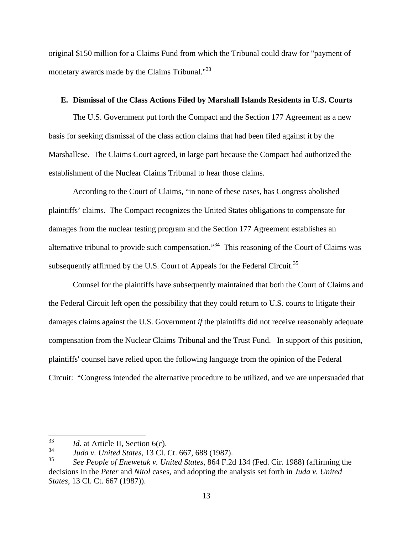original \$150 million for a Claims Fund from which the Tribunal could draw for "payment of monetary awards made by the Claims Tribunal."<sup>33</sup>

## **E. Dismissal of the Class Actions Filed by Marshall Islands Residents in U.S. Courts**

The U.S. Government put forth the Compact and the Section 177 Agreement as a new basis for seeking dismissal of the class action claims that had been filed against it by the Marshallese. The Claims Court agreed, in large part because the Compact had authorized the establishment of the Nuclear Claims Tribunal to hear those claims.

According to the Court of Claims, "in none of these cases, has Congress abolished plaintiffs' claims. The Compact recognizes the United States obligations to compensate for damages from the nuclear testing program and the Section 177 Agreement establishes an alternative tribunal to provide such compensation."34 This reasoning of the Court of Claims was subsequently affirmed by the U.S. Court of Appeals for the Federal Circuit.<sup>35</sup>

 Counsel for the plaintiffs have subsequently maintained that both the Court of Claims and the Federal Circuit left open the possibility that they could return to U.S. courts to litigate their damages claims against the U.S. Government *if* the plaintiffs did not receive reasonably adequate compensation from the Nuclear Claims Tribunal and the Trust Fund. In support of this position, plaintiffs' counsel have relied upon the following language from the opinion of the Federal Circuit: "Congress intended the alternative procedure to be utilized, and we are unpersuaded that

 <sup>33</sup> *Id.* at Article II, Section 6(c).

<sup>34</sup> *Juda v. United States,* 13 Cl. Ct. 667, 688 (1987).

<sup>35</sup> *See People of Enewetak v. United States*, 864 F.2d 134 (Fed. Cir. 1988) (affirming the decisions in the *Peter* and *Nitol* cases, and adopting the analysis set forth in *Juda v. United States*, 13 Cl. Ct. 667 (1987)).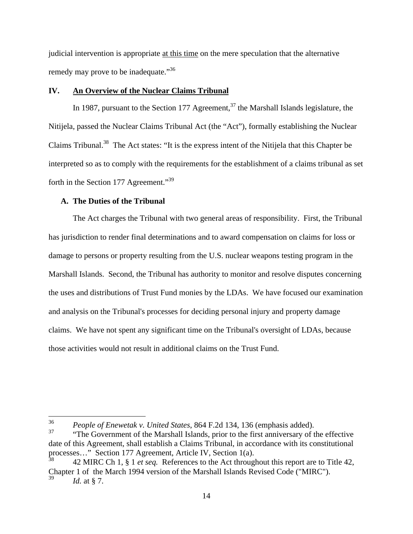judicial intervention is appropriate at this time on the mere speculation that the alternative remedy may prove to be inadequate."<sup>36</sup>

## **IV. An Overview of the Nuclear Claims Tribunal**

In 1987, pursuant to the Section 177 Agreement,<sup>37</sup> the Marshall Islands legislature, the Nitijela, passed the Nuclear Claims Tribunal Act (the "Act"), formally establishing the Nuclear Claims Tribunal.38 The Act states: "It is the express intent of the Nitijela that this Chapter be interpreted so as to comply with the requirements for the establishment of a claims tribunal as set forth in the Section 177 Agreement."<sup>39</sup>

## **A. The Duties of the Tribunal**

The Act charges the Tribunal with two general areas of responsibility. First, the Tribunal has jurisdiction to render final determinations and to award compensation on claims for loss or damage to persons or property resulting from the U.S. nuclear weapons testing program in the Marshall Islands. Second, the Tribunal has authority to monitor and resolve disputes concerning the uses and distributions of Trust Fund monies by the LDAs. We have focused our examination and analysis on the Tribunal's processes for deciding personal injury and property damage claims. We have not spent any significant time on the Tribunal's oversight of LDAs, because those activities would not result in additional claims on the Trust Fund.

 <sup>36</sup> *People of Enewetak v. United States*, 864 F.2d 134, 136 (emphasis added).

<sup>37</sup> "The Government of the Marshall Islands, prior to the first anniversary of the effective date of this Agreement, shall establish a Claims Tribunal, in accordance with its constitutional processes..." Section 177 Agreement, Article IV, Section 1(a).

<sup>38</sup> 42 MIRC Ch 1, § 1 *et seq.* References to the Act throughout this report are to Title 42, Chapter 1 of the March 1994 version of the Marshall Islands Revised Code ("MIRC").  $1d.$  at § 7.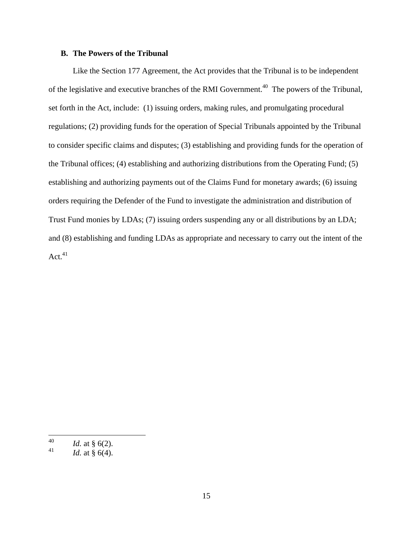## **B. The Powers of the Tribunal**

Like the Section 177 Agreement, the Act provides that the Tribunal is to be independent of the legislative and executive branches of the RMI Government.<sup>40</sup> The powers of the Tribunal, set forth in the Act, include: (1) issuing orders, making rules, and promulgating procedural regulations; (2) providing funds for the operation of Special Tribunals appointed by the Tribunal to consider specific claims and disputes; (3) establishing and providing funds for the operation of the Tribunal offices; (4) establishing and authorizing distributions from the Operating Fund; (5) establishing and authorizing payments out of the Claims Fund for monetary awards; (6) issuing orders requiring the Defender of the Fund to investigate the administration and distribution of Trust Fund monies by LDAs; (7) issuing orders suspending any or all distributions by an LDA; and (8) establishing and funding LDAs as appropriate and necessary to carry out the intent of the  $Act<sup>41</sup>$ 

 <sup>40</sup> *Id.* at § 6(2).

 $1d.$  at § 6(4).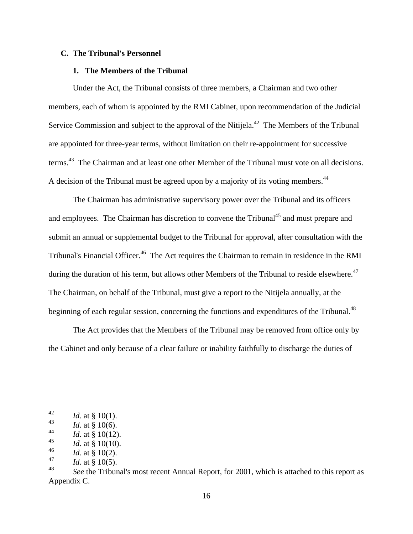#### **C. The Tribunal's Personnel**

#### **1. The Members of the Tribunal**

Under the Act, the Tribunal consists of three members, a Chairman and two other members, each of whom is appointed by the RMI Cabinet, upon recommendation of the Judicial Service Commission and subject to the approval of the Nitijela.<sup>42</sup> The Members of the Tribunal are appointed for three-year terms, without limitation on their re-appointment for successive terms.<sup>43</sup> The Chairman and at least one other Member of the Tribunal must vote on all decisions. A decision of the Tribunal must be agreed upon by a majority of its voting members.<sup>44</sup>

 The Chairman has administrative supervisory power over the Tribunal and its officers and employees. The Chairman has discretion to convene the Tribunal<sup>45</sup> and must prepare and submit an annual or supplemental budget to the Tribunal for approval, after consultation with the Tribunal's Financial Officer.<sup>46</sup> The Act requires the Chairman to remain in residence in the RMI during the duration of his term, but allows other Members of the Tribunal to reside elsewhere.<sup>47</sup> The Chairman, on behalf of the Tribunal, must give a report to the Nitijela annually, at the beginning of each regular session, concerning the functions and expenditures of the Tribunal.<sup>48</sup>

The Act provides that the Members of the Tribunal may be removed from office only by the Cabinet and only because of a clear failure or inability faithfully to discharge the duties of

 $142$  *Id.* at § 10(1).

 $1d.$  at § 10(6).

 $1d$ . at § 10(12).

 $1d.$  at § 10(10).

 $1d.$  at § 10(2).

 $1d.$  at § 10(5).

<sup>48</sup> *See* the Tribunal's most recent Annual Report, for 2001, which is attached to this report as Appendix C.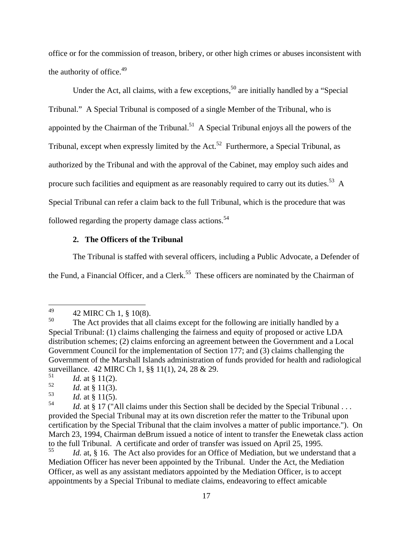office or for the commission of treason, bribery, or other high crimes or abuses inconsistent with the authority of office. $49$ 

Under the Act, all claims, with a few exceptions,  $50$  are initially handled by a "Special" Tribunal." A Special Tribunal is composed of a single Member of the Tribunal, who is appointed by the Chairman of the Tribunal.<sup>51</sup> A Special Tribunal enjoys all the powers of the Tribunal, except when expressly limited by the Act.<sup>52</sup> Furthermore, a Special Tribunal, as authorized by the Tribunal and with the approval of the Cabinet, may employ such aides and procure such facilities and equipment as are reasonably required to carry out its duties.<sup>53</sup> A A Special Tribunal can refer a claim back to the full Tribunal, which is the procedure that was followed regarding the property damage class actions.<sup>54</sup>

## **2. The Officers of the Tribunal**

The Tribunal is staffed with several officers, including a Public Advocate, a Defender of the Fund, a Financial Officer, and a Clerk.<sup>55</sup> These officers are nominated by the Chairman of

 $Id.$  at § 11(2).

Id. at, § 16. The Act also provides for an Office of Mediation, but we understand that a Mediation Officer has never been appointed by the Tribunal. Under the Act, the Mediation Officer, as well as any assistant mediators appointed by the Mediation Officer, is to accept appointments by a Special Tribunal to mediate claims, endeavoring to effect amicable

<sup>49 42</sup> MIRC Ch 1,  $\S$  10(8).

<sup>&</sup>lt;sup>50</sup> The Act provides that all claims except for the following are initially handled by a Special Tribunal: (1) claims challenging the fairness and equity of proposed or active LDA distribution schemes; (2) claims enforcing an agreement between the Government and a Local Government Council for the implementation of Section 177; and (3) claims challenging the Government of the Marshall Islands administration of funds provided for health and radiological surveillance. 42 MIRC Ch 1, §§ 11(1), 24, 28 & 29.

 $Id.$  at § 11(3).

 $Id.$  at § 11(5).

<sup>&</sup>lt;sup>54</sup> *Id.* at § 17 ("All claims under this Section shall be decided by the Special Tribunal ... provided the Special Tribunal may at its own discretion refer the matter to the Tribunal upon certification by the Special Tribunal that the claim involves a matter of public importance."). On March 23, 1994, Chairman deBrum issued a notice of intent to transfer the Enewetak class action to the full Tribunal. A certificate and order of transfer was issued on April 25, 1995.<br>
Id at 8.16. The Act also provides for an Office of Mediation, but we underst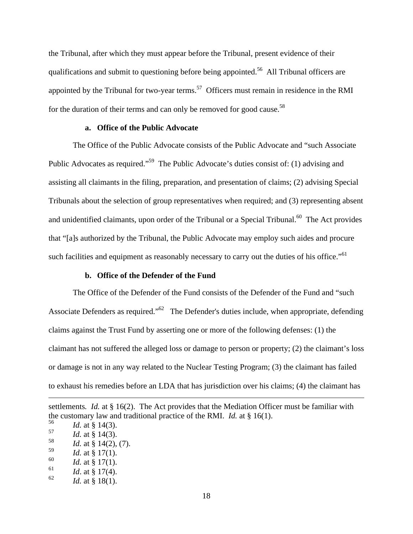the Tribunal, after which they must appear before the Tribunal, present evidence of their qualifications and submit to questioning before being appointed.<sup>56</sup> All Tribunal officers are appointed by the Tribunal for two-year terms.<sup>57</sup> Officers must remain in residence in the RMI for the duration of their terms and can only be removed for good cause.<sup>58</sup>

## **a. Office of the Public Advocate**

The Office of the Public Advocate consists of the Public Advocate and "such Associate Public Advocates as required."<sup>59</sup> The Public Advocate's duties consist of: (1) advising and assisting all claimants in the filing, preparation, and presentation of claims; (2) advising Special Tribunals about the selection of group representatives when required; and (3) representing absent and unidentified claimants, upon order of the Tribunal or a Special Tribunal.<sup>60</sup> The Act provides that "[a]s authorized by the Tribunal, the Public Advocate may employ such aides and procure such facilities and equipment as reasonably necessary to carry out the duties of his office."<sup>61</sup>

## **b. Office of the Defender of the Fund**

The Office of the Defender of the Fund consists of the Defender of the Fund and "such Associate Defenders as required." $62$  The Defender's duties include, when appropriate, defending claims against the Trust Fund by asserting one or more of the following defenses: (1) the claimant has not suffered the alleged loss or damage to person or property; (2) the claimant's loss or damage is not in any way related to the Nuclear Testing Program; (3) the claimant has failed to exhaust his remedies before an LDA that has jurisdiction over his claims; (4) the claimant has

 $Id.$  at § 17(1).

- $Id.$  at § 17(4).
- $Id.$  at § 18(1).

settlements*. Id.* at § 16(2). The Act provides that the Mediation Officer must be familiar with the customary law and traditional practice of the RMI. *Id.* at § 16(1).<br> $\frac{56}{100}$  *Id.* at § 14(2)

 $Id.$  at § 14(3).  $Id.$  at § 14(3).

 $Id.$  at § 14(2), (7).

 $1d.$  at § 17(1).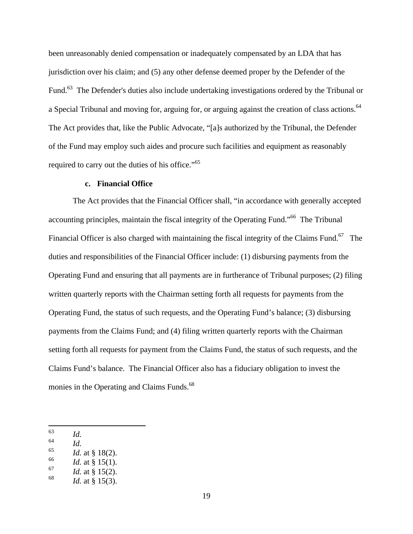been unreasonably denied compensation or inadequately compensated by an LDA that has jurisdiction over his claim; and (5) any other defense deemed proper by the Defender of the Fund.<sup>63</sup> The Defender's duties also include undertaking investigations ordered by the Tribunal or a Special Tribunal and moving for, arguing for, or arguing against the creation of class actions.<sup>64</sup> The Act provides that, like the Public Advocate, "[a]s authorized by the Tribunal, the Defender of the Fund may employ such aides and procure such facilities and equipment as reasonably required to carry out the duties of his office."<sup>65</sup>

#### **c. Financial Office**

The Act provides that the Financial Officer shall, "in accordance with generally accepted accounting principles, maintain the fiscal integrity of the Operating Fund."66 The Tribunal Financial Officer is also charged with maintaining the fiscal integrity of the Claims Fund.<sup>67</sup> The duties and responsibilities of the Financial Officer include: (1) disbursing payments from the Operating Fund and ensuring that all payments are in furtherance of Tribunal purposes; (2) filing written quarterly reports with the Chairman setting forth all requests for payments from the Operating Fund, the status of such requests, and the Operating Fund's balance; (3) disbursing payments from the Claims Fund; and (4) filing written quarterly reports with the Chairman setting forth all requests for payment from the Claims Fund, the status of such requests, and the Claims Fund's balance. The Financial Officer also has a fiduciary obligation to invest the monies in the Operating and Claims Funds.<sup>68</sup>

- <sup>64</sup> *Id.*
- $Id.$  at § 18(2).
- $Id.$  at § 15(1).
- $Id.$  at § 15(2).
- $Id.$  at § 15(3).

 <sup>63</sup> *Id.*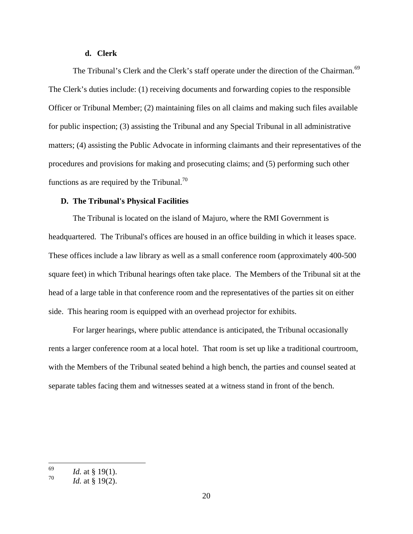#### **d. Clerk**

The Tribunal's Clerk and the Clerk's staff operate under the direction of the Chairman.<sup>69</sup><br>The Clerk's duties include: (1) receiving documents and forwarding copies to the responsible Officer or Tribunal Member; (2) maintaining files on all claims and making such files available for public inspection; (3) assisting the Tribunal and any Special Tribunal in all administrative matters; (4) assisting the Public Advocate in informing claimants and their representatives of the procedures and provisions for making and prosecuting claims; and (5) performing such other functions as are required by the Tribunal.<sup>70</sup>

## **D. The Tribunal's Physical Facilities**

The Tribunal is located on the island of Majuro, where the RMI Government is headquartered. The Tribunal's offices are housed in an office building in which it leases space. These offices include a law library as well as a small conference room (approximately 400-500 square feet) in which Tribunal hearings often take place. The Members of the Tribunal sit at the head of a large table in that conference room and the representatives of the parties sit on either side. This hearing room is equipped with an overhead projector for exhibits.

For larger hearings, where public attendance is anticipated, the Tribunal occasionally rents a larger conference room at a local hotel. That room is set up like a traditional courtroom, with the Members of the Tribunal seated behind a high bench, the parties and counsel seated at separate tables facing them and witnesses seated at a witness stand in front of the bench.

 <sup>69</sup> *Id.* at § 19(1).

 $Id.$  at § 19(2).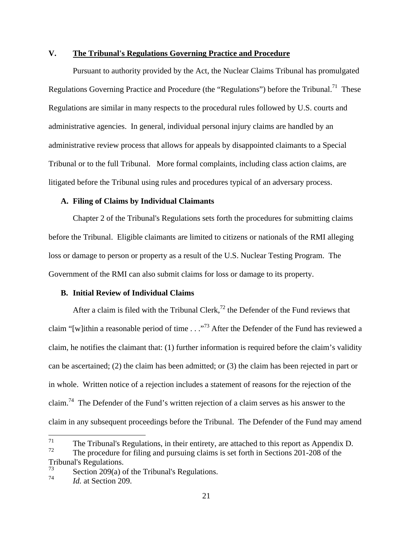## **V. The Tribunal's Regulations Governing Practice and Procedure**

Pursuant to authority provided by the Act, the Nuclear Claims Tribunal has promulgated Regulations Governing Practice and Procedure (the "Regulations") before the Tribunal.<sup>71</sup> These Regulations are similar in many respects to the procedural rules followed by U.S. courts and administrative agencies. In general, individual personal injury claims are handled by an administrative review process that allows for appeals by disappointed claimants to a Special Tribunal or to the full Tribunal. More formal complaints, including class action claims, are litigated before the Tribunal using rules and procedures typical of an adversary process.

#### **A. Filing of Claims by Individual Claimants**

Chapter 2 of the Tribunal's Regulations sets forth the procedures for submitting claims before the Tribunal. Eligible claimants are limited to citizens or nationals of the RMI alleging loss or damage to person or property as a result of the U.S. Nuclear Testing Program. The Government of the RMI can also submit claims for loss or damage to its property.

## **B. Initial Review of Individual Claims**

After a claim is filed with the Tribunal Clerk,<sup>72</sup> the Defender of the Fund reviews that claim "[w]ithin a reasonable period of time . . ."73 After the Defender of the Fund has reviewed a claim, he notifies the claimant that: (1) further information is required before the claim's validity can be ascertained; (2) the claim has been admitted; or (3) the claim has been rejected in part or in whole. Written notice of a rejection includes a statement of reasons for the rejection of the claim.74 The Defender of the Fund's written rejection of a claim serves as his answer to the claim in any subsequent proceedings before the Tribunal. The Defender of the Fund may amend

<sup>&</sup>lt;sup>71</sup> The Tribunal's Regulations, in their entirety, are attached to this report as Appendix D.<br><sup>72</sup> The presedure for filing and pursuing elsime is set forth in Sections 201, 209 of the The procedure for filing and pursuing claims is set forth in Sections 201-208 of the

Tribunal's Regulations.

 $^{73}$  Section 209(a) of the Tribunal's Regulations.

<sup>74</sup> *Id.* at Section 209.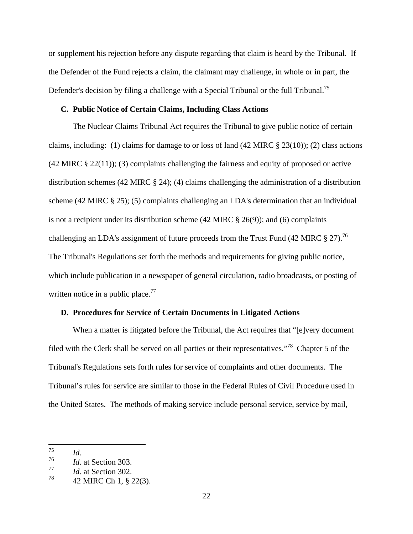or supplement his rejection before any dispute regarding that claim is heard by the Tribunal. If the Defender of the Fund rejects a claim, the claimant may challenge, in whole or in part, the Defender's decision by filing a challenge with a Special Tribunal or the full Tribunal.<sup>75</sup>

#### **C. Public Notice of Certain Claims, Including Class Actions**

The Nuclear Claims Tribunal Act requires the Tribunal to give public notice of certain claims, including: (1) claims for damage to or loss of land (42 MIRC § 23(10)); (2) class actions  $(42 \text{ MIRC} \& 22(11))$ ; (3) complaints challenging the fairness and equity of proposed or active distribution schemes (42 MIRC § 24); (4) claims challenging the administration of a distribution scheme (42 MIRC § 25); (5) complaints challenging an LDA's determination that an individual is not a recipient under its distribution scheme  $(42 \text{ MIRC} \text{ } \text{\&} 26(9))$ ; and  $(6)$  complaints challenging an LDA's assignment of future proceeds from the Trust Fund (42 MIRC  $\S 27$ ).<sup>76</sup> The Tribunal's Regulations set forth the methods and requirements for giving public notice, which include publication in a newspaper of general circulation, radio broadcasts, or posting of written notice in a public place.<sup>77</sup>

## **D. Procedures for Service of Certain Documents in Litigated Actions**

When a matter is litigated before the Tribunal, the Act requires that "[e]very document filed with the Clerk shall be served on all parties or their representatives."78 Chapter 5 of the Tribunal's Regulations sets forth rules for service of complaints and other documents. The Tribunal's rules for service are similar to those in the Federal Rules of Civil Procedure used in the United States. The methods of making service include personal service, service by mail,

 <sup>75</sup> *Id.*

<sup>76</sup> *Id.* at Section 303.

<sup>77</sup> *Id.* at Section 302.

 $^{78}$  42 MIRC Ch 1, § 22(3).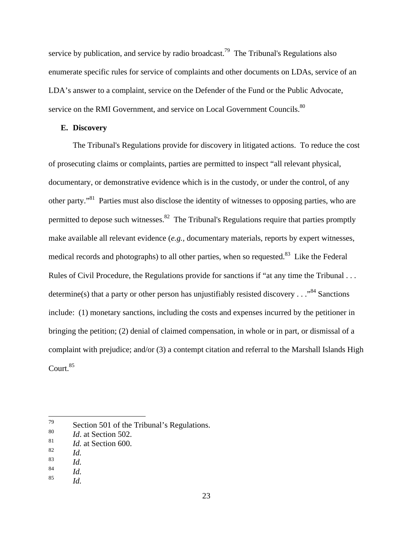service by publication, and service by radio broadcast.<sup>79</sup> The Tribunal's Regulations also enumerate specific rules for service of complaints and other documents on LDAs, service of an LDA's answer to a complaint, service on the Defender of the Fund or the Public Advocate, service on the RMI Government, and service on Local Government Councils.<sup>80</sup>

#### **E. Discovery**

The Tribunal's Regulations provide for discovery in litigated actions. To reduce the cost of prosecuting claims or complaints, parties are permitted to inspect "all relevant physical, documentary, or demonstrative evidence which is in the custody, or under the control, of any other party."81 Parties must also disclose the identity of witnesses to opposing parties, who are permitted to depose such witnesses.<sup>82</sup> The Tribunal's Regulations require that parties promptly make available all relevant evidence (*e.g.,* documentary materials, reports by expert witnesses, medical records and photographs) to all other parties, when so requested.<sup>83</sup> Like the Federal Rules of Civil Procedure, the Regulations provide for sanctions if "at any time the Tribunal . . . determine(s) that a party or other person has unjustifiably resisted discovery . . . "<sup>84</sup> Sanctions" include: (1) monetary sanctions, including the costs and expenses incurred by the petitioner in bringing the petition; (2) denial of claimed compensation, in whole or in part, or dismissal of a complaint with prejudice; and/or (3) a contempt citation and referral to the Marshall Islands High  $Count.<sup>85</sup>$ 

<sup>&</sup>lt;sup>79</sup> Section 501 of the Tribunal's Regulations.

<sup>80</sup> *Id*. at Section 502.

<sup>81</sup> *Id.* at Section 600.

<sup>82</sup> *Id.*

<sup>83</sup> *Id.*

<sup>84</sup> *Id.*

<sup>85</sup> *Id.*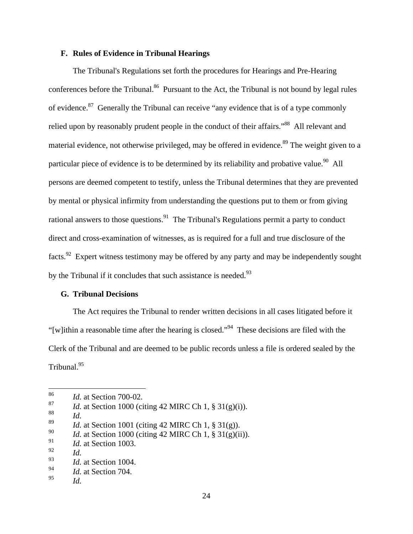## **F. Rules of Evidence in Tribunal Hearings**

The Tribunal's Regulations set forth the procedures for Hearings and Pre-Hearing conferences before the Tribunal.<sup>86</sup> Pursuant to the Act, the Tribunal is not bound by legal rules of evidence.<sup>87</sup> Generally the Tribunal can receive "any evidence that is of a type commonly relied upon by reasonably prudent people in the conduct of their affairs."<sup>88</sup> All relevant and material evidence, not otherwise privileged, may be offered in evidence.<sup>89</sup> The weight given to a particular piece of evidence is to be determined by its reliability and probative value.<sup>90</sup> All persons are deemed competent to testify, unless the Tribunal determines that they are prevented by mental or physical infirmity from understanding the questions put to them or from giving rational answers to those questions.<sup>91</sup> The Tribunal's Regulations permit a party to conduct direct and cross-examination of witnesses, as is required for a full and true disclosure of the facts.<sup>92</sup> Expert witness testimony may be offered by any party and may be independently sought by the Tribunal if it concludes that such assistance is needed.<sup>93</sup>

#### **G. Tribunal Decisions**

The Act requires the Tribunal to render written decisions in all cases litigated before it "[w]ithin a reasonable time after the hearing is closed."<sup>94</sup> These decisions are filed with the Clerk of the Tribunal and are deemed to be public records unless a file is ordered sealed by the Tribunal.<sup>95</sup>

 <sup>86</sup> *Id.* at Section 700-02.

<sup>&</sup>lt;sup>87</sup> *Id.* at Section 1000 (citing 42 MIRC Ch 1, § 31(g)(i)).

<sup>88</sup> *Id.*

<sup>89</sup> *Id.* at Section 1001 (citing 42 MIRC Ch 1, § 31(g)).

<sup>&</sup>lt;sup>90</sup> *Id.* at Section 1000 (citing 42 MIRC Ch 1, § 31(g)(ii)).

<sup>91</sup> *Id.* at Section 1003.

<sup>92</sup> *Id.*

<sup>93</sup> *Id.* at Section 1004.

<sup>94</sup> *Id.* at Section 704.

<sup>95</sup> *Id.*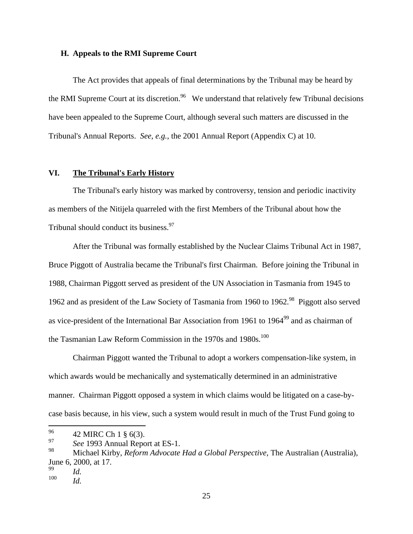#### **H. Appeals to the RMI Supreme Court**

The Act provides that appeals of final determinations by the Tribunal may be heard by the RMI Supreme Court at its discretion.<sup>96</sup> We understand that relatively few Tribunal decisions have been appealed to the Supreme Court, although several such matters are discussed in the Tribunal's Annual Reports. *See, e.g.*, the 2001 Annual Report (Appendix C) at 10.

#### **VI. The Tribunal's Early History**

The Tribunal's early history was marked by controversy, tension and periodic inactivity as members of the Nitijela quarreled with the first Members of the Tribunal about how the Tribunal should conduct its business.<sup>97</sup>

 After the Tribunal was formally established by the Nuclear Claims Tribunal Act in 1987, Bruce Piggott of Australia became the Tribunal's first Chairman. Before joining the Tribunal in 1988, Chairman Piggott served as president of the UN Association in Tasmania from 1945 to 1962 and as president of the Law Society of Tasmania from 1960 to 1962.<sup>98</sup> Piggott also served as vice-president of the International Bar Association from 1961 to 1964<sup>99</sup> and as chairman of the Tasmanian Law Reform Commission in the  $1970s$  and  $1980s$ .<sup>100</sup>

 Chairman Piggott wanted the Tribunal to adopt a workers compensation-like system, in which awards would be mechanically and systematically determined in an administrative manner. Chairman Piggott opposed a system in which claims would be litigated on a case-by case basis because, in his view, such a system would result in much of the Trust Fund going to

<sup>96 42</sup> MIRC Ch 1  $\S$  6(3).

<sup>&</sup>lt;sup>97</sup> *See* 1993 Annual Report at ES-1.

<sup>98</sup> Michael Kirby, *Reform Advocate Had a Global Perspective*, The Australian (Australia), June 6, 2000, at 17. <sup>99</sup> *Id.*

<sup>100</sup> *Id.*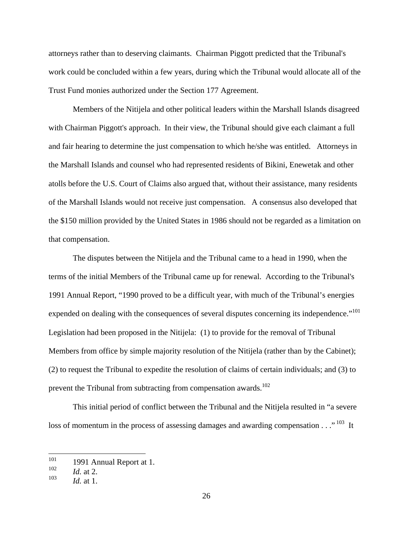attorneys rather than to deserving claimants. Chairman Piggott predicted that the Tribunal's work could be concluded within a few years, during which the Tribunal would allocate all of the Trust Fund monies authorized under the Section 177 Agreement.

Members of the Nitijela and other political leaders within the Marshall Islands disagreed with Chairman Piggott's approach. In their view, the Tribunal should give each claimant a full and fair hearing to determine the just compensation to which he/she was entitled. Attorneys in the Marshall Islands and counsel who had represented residents of Bikini, Enewetak and other atolls before the U.S. Court of Claims also argued that, without their assistance, many residents of the Marshall Islands would not receive just compensation. A consensus also developed that the \$150 million provided by the United States in 1986 should not be regarded as a limitation on that compensation.

The disputes between the Nitijela and the Tribunal came to a head in 1990, when the terms of the initial Members of the Tribunal came up for renewal. According to the Tribunal's 1991 Annual Report, "1990 proved to be a difficult year, with much of the Tribunal's energies expended on dealing with the consequences of several disputes concerning its independence."<sup>101</sup><br>Legislation had been proposed in the Nitijela: (1) to provide for the removal of Tribunal Members from office by simple majority resolution of the Nitijela (rather than by the Cabinet); (2) to request the Tribunal to expedite the resolution of claims of certain individuals; and (3) to prevent the Tribunal from subtracting from compensation awards.<sup>102</sup>

 This initial period of conflict between the Tribunal and the Nitijela resulted in "a severe loss of momentum in the process of assessing damages and awarding compensation  $\ldots$ <sup>103</sup> It

 <sup>101</sup> 1991 Annual Report at 1.

 $102$  *Id.* at 2.

<sup>103</sup> *Id.* at 1.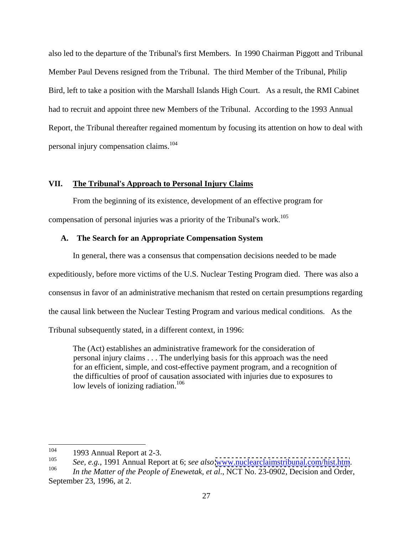also led to the departure of the Tribunal's first Members. In 1990 Chairman Piggott and Tribunal Member Paul Devens resigned from the Tribunal. The third Member of the Tribunal, Philip Bird, left to take a position with the Marshall Islands High Court. As a result, the RMI Cabinet had to recruit and appoint three new Members of the Tribunal. According to the 1993 Annual Report, the Tribunal thereafter regained momentum by focusing its attention on how to deal with personal injury compensation claims.<sup>104</sup>

## **VII. The Tribunal's Approach to Personal Injury Claims**

From the beginning of its existence, development of an effective program for compensation of personal injuries was a priority of the Tribunal's work.<sup>105</sup>

#### **A. The Search for an Appropriate Compensation System**

In general, there was a consensus that compensation decisions needed to be made expeditiously, before more victims of the U.S. Nuclear Testing Program died. There was also a consensus in favor of an administrative mechanism that rested on certain presumptions regarding the causal link between the Nuclear Testing Program and various medical conditions. As the Tribunal subsequently stated, in a different context, in 1996:

The (Act) establishes an administrative framework for the consideration of personal injury claims . . . The underlying basis for this approach was the need for an efficient, simple, and cost-effective payment program, and a recognition of the difficulties of proof of causation associated with injuries due to exposures to low levels of ionizing radiation.<sup>106</sup>

 <sup>104</sup> 1993 Annual Report at 2-3.

<sup>105</sup> *See, e.g.*, 1991 Annual Report at 6; *see also* [www.nuclearclaimstribunal.com/hist.htm](http://www.nuclearclaimstribunal.com/hist.htm). <sup>106</sup> *In the Matter of the People of Enewetak, et al*., NCT No. 23-0902, Decision and Order,

September 23, 1996, at 2.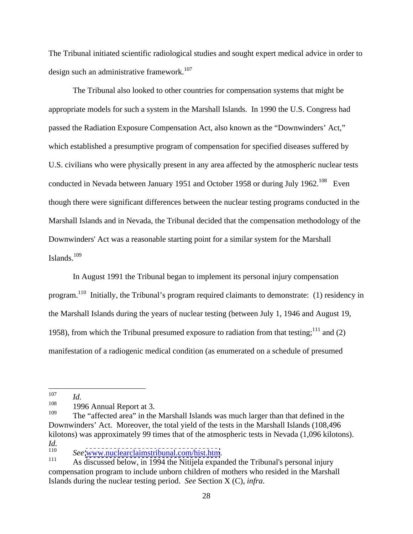The Tribunal initiated scientific radiological studies and sought expert medical advice in order to design such an administrative framework.<sup>107</sup>

The Tribunal also looked to other countries for compensation systems that might be appropriate models for such a system in the Marshall Islands. In 1990 the U.S. Congress had passed the Radiation Exposure Compensation Act, also known as the "Downwinders' Act," which established a presumptive program of compensation for specified diseases suffered by U.S. civilians who were physically present in any area affected by the atmospheric nuclear tests conducted in Nevada between January 1951 and October 1958 or during July 1962.<sup>108</sup> Even though there were significant differences between the nuclear testing programs conducted in the Marshall Islands and in Nevada, the Tribunal decided that the compensation methodology of the Downwinders' Act was a reasonable starting point for a similar system for the Marshall Islands.<sup>109</sup> Islands.<sup>109</sup><br>In August 1991 the Tribunal began to implement its personal injury compensation

program.110 Initially, the Tribunal's program required claimants to demonstrate: (1) residency in the Marshall Islands during the years of nuclear testing (between July 1, 1946 and August 19, 1958), from which the Tribunal presumed exposure to radiation from that testing;<sup>111</sup> and (2) manifestation of a radiogenic medical condition (as enumerated on a schedule of presumed

 <sup>107</sup> *Id.*

 $108$  1996 Annual Report at 3.

 $109$  The "affected area" in the Marshall Islands was much larger than that defined in the Downwinders' Act. Moreover, the total yield of the tests in the Marshall Islands (108,496 kilotons) was approximately 99 times that of the atmospheric tests in Nevada (1,096 kilotons). *Id.*

<sup>&</sup>lt;sup>110</sup> *See* <u>[www.nuclearclaimstribunal.com/hist.htm](http://www.nuclearclaimstribunal.com/hist.htm)</u>.<br><sup>111</sup> As discussed below, in 1994 the Nitijela expanded the Tribunal's personal injury compensation program to include unborn children of mothers who resided in the Marshall Islands during the nuclear testing period. *See* Section X (C), *infra*.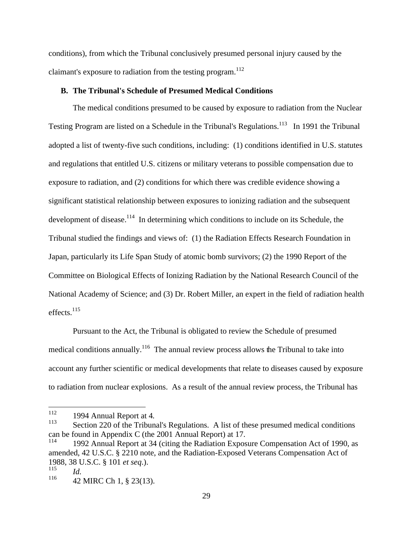conditions), from which the Tribunal conclusively presumed personal injury caused by the claimant's exposure to radiation from the testing program.<sup>112</sup>

## **B. The Tribunal's Schedule of Presumed Medical Conditions**

The medical conditions presumed to be caused by exposure to radiation from the Nuclear Testing Program are listed on a Schedule in the Tribunal's Regulations.<sup>113</sup> In 1991 the Tribunal adopted a list of twenty-five such conditions, including: (1) conditions identified in U.S. statutes and regulations that entitled U.S. citizens or military veterans to possible compensation due to exposure to radiation, and (2) conditions for which there was credible evidence showing a significant statistical relationship between exposures to ionizing radiation and the subsequent development of disease.<sup>114</sup> In determining which conditions to include on its Schedule, the Tribunal studied the findings and views of: (1) the Radiation Effects Research Foundation in Japan, particularly its Life Span Study of atomic bomb survivors; (2) the 1990 Report of the Committee on Biological Effects of Ionizing Radiation by the National Research Council of the National Academy of Science; and (3) Dr. Robert Miller, an expert in the field of radiation health  $\text{effects.}^{115}$ effects.<sup>115</sup><br>Pursuant to the Act, the Tribunal is obligated to review the Schedule of presumed

medical conditions annually.<sup>116</sup> The annual review process allows the Tribunal to take into account any further scientific or medical developments that relate to diseases caused by exposure to radiation from nuclear explosions. As a result of the annual review process, the Tribunal has

<sup>112 1994</sup> Annual Report at 4.<br><sup>113</sup> Section 220 of the Tribunal's Regulations. A list of these presumed medical conditions can be found in Appendix C (the 2001 Annual Report) at 17.

<sup>114</sup> 1992 Annual Report at 34 (citing the Radiation Exposure Compensation Act of 1990, as amended, 42 U.S.C. § 2210 note, and the Radiation-Exposed Veterans Compensation Act of 1988, 38 U.S.C. § 101 *et seq*.). <sup>115</sup> *Id.* 

 $^{116}$  42 MIRC Ch 1, § 23(13).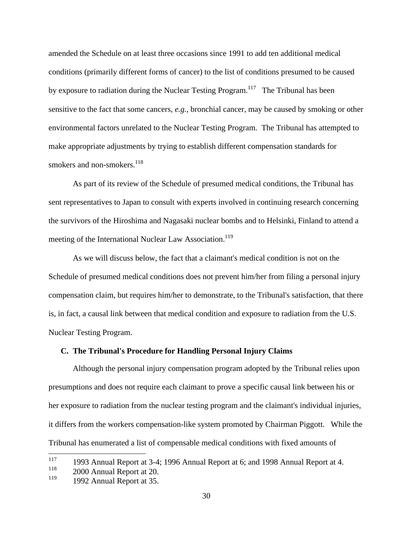amended the Schedule on at least three occasions since 1991 to add ten additional medical conditions (primarily different forms of cancer) to the list of conditions presumed to be caused by exposure to radiation during the Nuclear Testing Program.<sup>117</sup> The Tribunal has been sensitive to the fact that some cancers, *e.g.*, bronchial cancer, may be caused by smoking or other environmental factors unrelated to the Nuclear Testing Program. The Tribunal has attempted to make appropriate adjustments by trying to establish different compensation standards for smokers and non-smokers.<sup>118</sup>

As part of its review of the Schedule of presumed medical conditions, the Tribunal has sent representatives to Japan to consult with experts involved in continuing research concerning the survivors of the Hiroshima and Nagasaki nuclear bombs and to Helsinki, Finland to attend a meeting of the International Nuclear Law Association.<sup>119</sup>

As we will discuss below, the fact that a claimant's medical condition is not on the Schedule of presumed medical conditions does not prevent him/her from filing a personal injury compensation claim, but requires him/her to demonstrate, to the Tribunal's satisfaction, that there is, in fact, a causal link between that medical condition and exposure to radiation from the U.S. Nuclear Testing Program.

#### **C. The Tribunal's Procedure for Handling Personal Injury Claims**

Although the personal injury compensation program adopted by the Tribunal relies upon presumptions and does not require each claimant to prove a specific causal link between his or her exposure to radiation from the nuclear testing program and the claimant's individual injuries, it differs from the workers compensation-like system promoted by Chairman Piggott. While the Tribunal has enumerated a list of compensable medical conditions with fixed amounts of

<sup>&</sup>lt;sup>117</sup> 1993 Annual Report at 3-4; 1996 Annual Report at 6; and 1998 Annual Report at 4.

 $^{118}$  2000 Annual Report at 20.

<sup>&</sup>lt;sup>119</sup> 1992 Annual Report at 35.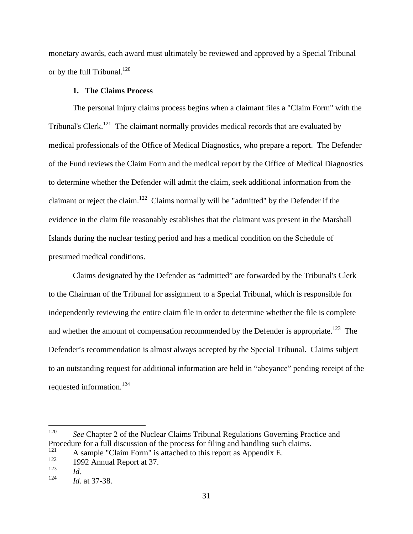monetary awards, each award must ultimately be reviewed and approved by a Special Tribunal or by the full Tribunal.<sup>120</sup>  $\mu$  and  $\mu$  and  $\mu$  and  $\mu$  and  $\mu$  and  $\mu$  and  $\mu$  and  $\mu$  and  $\mu$  and  $\mu$  and  $\mu$  and  $\mu$  and  $\mu$  and  $\mu$  and  $\mu$  and  $\mu$  and  $\mu$  and  $\mu$  and  $\mu$  and  $\mu$  and  $\mu$  and  $\$ 

#### **1. The Claims Process**

The personal injury claims process begins when a claimant files a "Claim Form" with the Tribunal's Clerk.<sup>121</sup> The claimant normally provides medical records that are evaluated by medical professionals of the Office of Medical Diagnostics, who prepare a report. The Defender of the Fund reviews the Claim Form and the medical report by the Office of Medical Diagnostics to determine whether the Defender will admit the claim, seek additional information from the claimant or reject the claim.122 Claims normally will be "admitted" by the Defender if the evidence in the claim file reasonably establishes that the claimant was present in the Marshall Islands during the nuclear testing period and has a medical condition on the Schedule of presumed medical conditions.

Claims designated by the Defender as "admitted" are forwarded by the Tribunal's Clerk to the Chairman of the Tribunal for assignment to a Special Tribunal, which is responsible for independently reviewing the entire claim file in order to determine whether the file is complete and whether the amount of compensation recommended by the Defender is appropriate.<sup>123</sup> The Defender's recommendation is almost always accepted by the Special Tribunal. Claims subject to an outstanding request for additional information are held in "abeyance" pending receipt of the requested information.<sup>124</sup>

<sup>&</sup>lt;sup>120</sup> *See* Chapter 2 of the Nuclear Claims Tribunal Regulations Governing Practice and Procedure for a full discussion of the process for filing and handling such claims.<br> $\frac{121}{12}$  A sample "Claim Egypt" is attached to this generates Appendix E

<sup>&</sup>lt;sup>121</sup> A sample "Claim Form" is attached to this report as Appendix E.<br>122 1002 Annual Banart at  $27$ 

<sup>122</sup> 1992 Annual Report at 37.

<sup>123</sup> *Id.*

<sup>124</sup> *Id.* at 37-38.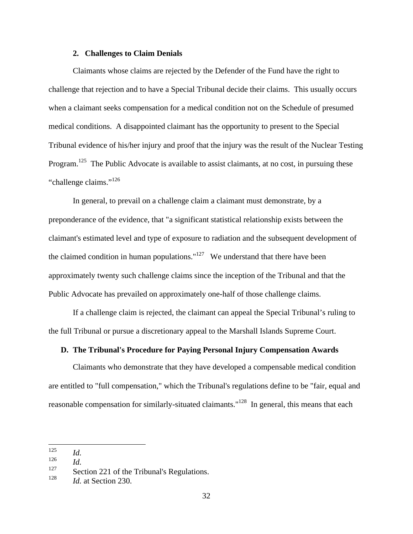#### **2. Challenges to Claim Denials**

Claimants whose claims are rejected by the Defender of the Fund have the right to challenge that rejection and to have a Special Tribunal decide their claims. This usually occurs when a claimant seeks compensation for a medical condition not on the Schedule of presumed medical conditions. A disappointed claimant has the opportunity to present to the Special Tribunal evidence of his/her injury and proof that the injury was the result of the Nuclear Testing Program.<sup>125</sup> The Public Advocate is available to assist claimants, at no cost, in pursuing these "challenge claims."<sup>126</sup> "challenge claims." $126$ <br>In general, to prevail on a challenge claim a claimant must demonstrate, by a

preponderance of the evidence, that "a significant statistical relationship exists between the claimant's estimated level and type of exposure to radiation and the subsequent development of the claimed condition in human populations."<sup>127</sup> We understand that there have been approximately twenty such challenge claims since the inception of the Tribunal and that the Public Advocate has prevailed on approximately one-half of those challenge claims.

If a challenge claim is rejected, the claimant can appeal the Special Tribunal's ruling to the full Tribunal or pursue a discretionary appeal to the Marshall Islands Supreme Court.

# **D. The Tribunal's Procedure for Paying Personal Injury Compensation Awards**

Claimants who demonstrate that they have developed a compensable medical condition are entitled to "full compensation," which the Tribunal's regulations define to be "fair, equal and reasonable compensation for similarly-situated claimants."<sup>128</sup> In general, this means that each

 <sup>125</sup> *Id.*

<sup>126</sup> *Id.*

<sup>&</sup>lt;sup>127</sup> Section 221 of the Tribunal's Regulations.<br><sup>128</sup> Let Section 220

<sup>128</sup> *Id.* at Section 230.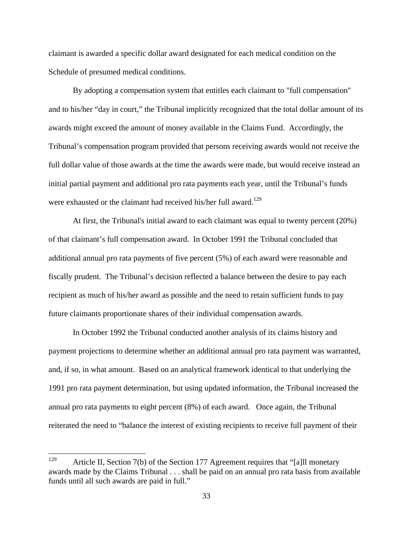claimant is awarded a specific dollar award designated for each medical condition on the Schedule of presumed medical conditions.

By adopting a compensation system that entitles each claimant to "full compensation" and to his/her "day in court," the Tribunal implicitly recognized that the total dollar amount of its awards might exceed the amount of money available in the Claims Fund. Accordingly, the Tribunal's compensation program provided that persons receiving awards would not receive the full dollar value of those awards at the time the awards were made, but would receive instead an initial partial payment and additional pro rata payments each year, until the Tribunal's funds were exhausted or the claimant had received his/her full award.<sup>129</sup>

 At first, the Tribunal's initial award to each claimant was equal to twenty percent (20%) of that claimant's full compensation award. In October 1991 the Tribunal concluded that additional annual pro rata payments of five percent (5%) of each award were reasonable and fiscally prudent. The Tribunal's decision reflected a balance between the desire to pay each recipient as much of his/her award as possible and the need to retain sufficient funds to pay future claimants proportionate shares of their individual compensation awards.

In October 1992 the Tribunal conducted another analysis of its claims history and payment projections to determine whether an additional annual pro rata payment was warranted, and, if so, in what amount. Based on an analytical framework identical to that underlying the 1991 pro rata payment determination, but using updated information, the Tribunal increased the annual pro rata payments to eight percent (8%) of each award. Once again, the Tribunal reiterated the need to "balance the interest of existing recipients to receive full payment of their

<sup>&</sup>lt;sup>129</sup> Article II, Section 7(b) of the Section 177 Agreement requires that "[a] monetary awards made by the Claims Tribunal . . . shall be paid on an annual pro rata basis from available funds until all such awards are paid in full."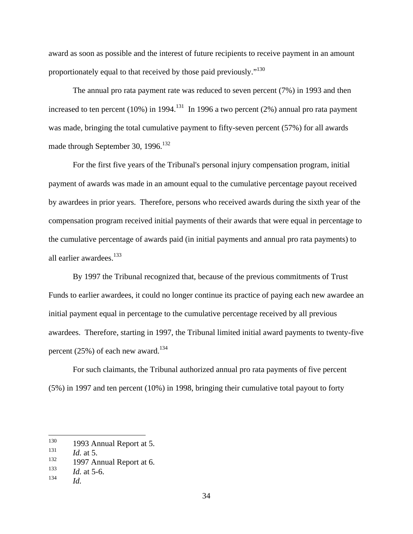award as soon as possible and the interest of future recipients to receive payment in an amount proportionately equal to that received by those paid previously."<sup>130</sup>

The annual pro rata payment rate was reduced to seven percent (7%) in 1993 and then increased to ten percent (10%) in 1994.<sup>131</sup> In 1996 a two percent (2%) annual pro rata payment was made, bringing the total cumulative payment to fifty-seven percent (57%) for all awards made through September 30, 1996.<sup>132</sup>

 For the first five years of the Tribunal's personal injury compensation program, initial payment of awards was made in an amount equal to the cumulative percentage payout received by awardees in prior years. Therefore, persons who received awards during the sixth year of the compensation program received initial payments of their awards that were equal in percentage to the cumulative percentage of awards paid (in initial payments and annual pro rata payments) to all earlier awardees. $133$ 

By 1997 the Tribunal recognized that, because of the previous commitments of Trust Funds to earlier awardees, it could no longer continue its practice of paying each new awardee an initial payment equal in percentage to the cumulative percentage received by all previous awardees. Therefore, starting in 1997, the Tribunal limited initial award payments to twenty-five percent (25%) of each new award.<sup>134</sup>

For such claimants, the Tribunal authorized annual pro rata payments of five percent (5%) in 1997 and ten percent (10%) in 1998, bringing their cumulative total payout to forty

 <sup>130</sup> 1993 Annual Report at 5.

<sup>131</sup> *Id.* at 5.

 $132$  1997 Annual Report at 6.

<sup>133</sup> *Id.* at 5-6.

<sup>134</sup> *Id.*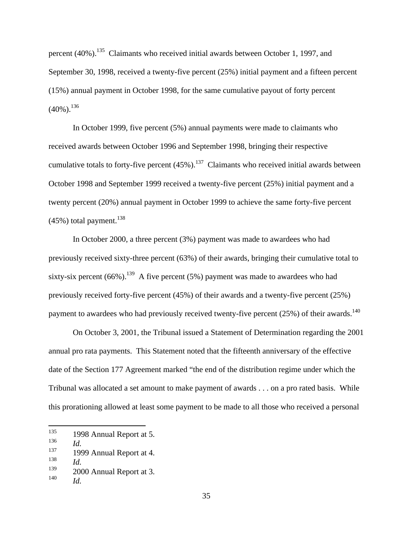percent (40%).135 Claimants who received initial awards between October 1, 1997, and September 30, 1998, received a twenty-five percent (25%) initial payment and a fifteen percent (15%) annual payment in October 1998, for the same cumulative payout of forty percent  $(40\%)$ .<sup>136</sup>

In October 1999, five percent (5%) annual payments were made to claimants who received awards between October 1996 and September 1998, bringing their respective cumulative totals to forty-five percent  $(45%)$ .<sup>137</sup> Claimants who received initial awards between October 1998 and September 1999 received a twenty-five percent (25%) initial payment and a twenty percent (20%) annual payment in October 1999 to achieve the same forty-five percent  $(45%)$  total payment.<sup>138</sup>

In October 2000, a three percent (3%) payment was made to awardees who had previously received sixty-three percent (63%) of their awards, bringing their cumulative total to sixty-six percent  $(66\%)$ .<sup>139</sup> A five percent  $(5\%)$  payment was made to awardees who had previously received forty-five percent (45%) of their awards and a twenty-five percent (25%) payment to awardees who had previously received twenty-five percent  $(25%)$  of their awards.<sup>140</sup>

On October 3, 2001, the Tribunal issued a Statement of Determination regarding the 2001 annual pro rata payments. This Statement noted that the fifteenth anniversary of the effective date of the Section 177 Agreement marked "the end of the distribution regime under which the Tribunal was allocated a set amount to make payment of awards . . . on a pro rated basis. While this prorationing allowed at least some payment to be made to all those who received a personal

 <sup>135</sup> 1998 Annual Report at 5.

<sup>136</sup> *Id.*

 $137$  1999 Annual Report at 4.

<sup>138</sup> *Id.*

 $139$  2000 Annual Report at 3.

<sup>140</sup> *Id.*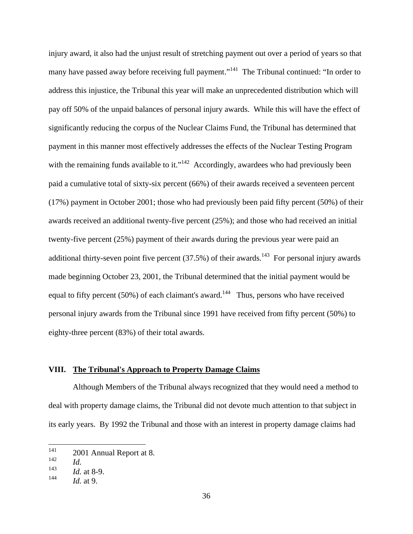injury award, it also had the unjust result of stretching payment out over a period of years so that many have passed away before receiving full payment."<sup>141</sup> The Tribunal continued: "In order to address this injustice, the Tribunal this year will make an unprecedented distribution which will pay off 50% of the unpaid balances of personal injury awards. While this will have the effect of significantly reducing the corpus of the Nuclear Claims Fund, the Tribunal has determined that payment in this manner most effectively addresses the effects of the Nuclear Testing Program with the remaining funds available to it."<sup>142</sup> Accordingly, awardees who had previously been paid a cumulative total of sixty-six percent (66%) of their awards received a seventeen percent (17%) payment in October 2001; those who had previously been paid fifty percent (50%) of their awards received an additional twenty-five percent (25%); and those who had received an initial twenty-five percent (25%) payment of their awards during the previous year were paid an additional thirty-seven point five percent  $(37.5%)$  of their awards.<sup>143</sup> For personal injury awards made beginning October 23, 2001, the Tribunal determined that the initial payment would be equal to fifty percent (50%) of each claimant's award.<sup>144</sup> Thus, persons who have received personal injury awards from the Tribunal since 1991 have received from fifty percent (50%) to eighty-three percent (83%) of their total awards.

# **VIII. The Tribunal's Approach to Property Damage Claims**

Although Members of the Tribunal always recognized that they would need a method to deal with property damage claims, the Tribunal did not devote much attention to that subject in its early years. By 1992 the Tribunal and those with an interest in property damage claims had

 <sup>141</sup> 2001 Annual Report at 8.

<sup>142</sup> *Id.*

<sup>143</sup> *Id.* at 8-9.

<sup>144</sup> *Id.* at 9.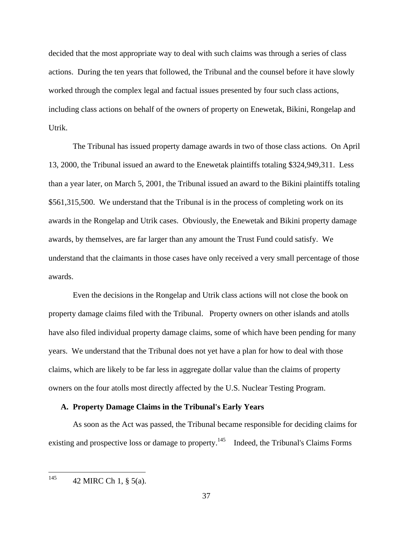decided that the most appropriate way to deal with such claims was through a series of class actions. During the ten years that followed, the Tribunal and the counsel before it have slowly worked through the complex legal and factual issues presented by four such class actions, including class actions on behalf of the owners of property on Enewetak, Bikini, Rongelap and Utrik.

The Tribunal has issued property damage awards in two of those class actions. On April 13, 2000, the Tribunal issued an award to the Enewetak plaintiffs totaling \$324,949,311. Less than a year later, on March 5, 2001, the Tribunal issued an award to the Bikini plaintiffs totaling \$561,315,500. We understand that the Tribunal is in the process of completing work on its awards in the Rongelap and Utrik cases. Obviously, the Enewetak and Bikini property damage awards, by themselves, are far larger than any amount the Trust Fund could satisfy. We understand that the claimants in those cases have only received a very small percentage of those awards.

Even the decisions in the Rongelap and Utrik class actions will not close the book on property damage claims filed with the Tribunal. Property owners on other islands and atolls have also filed individual property damage claims, some of which have been pending for many years. We understand that the Tribunal does not yet have a plan for how to deal with those claims, which are likely to be far less in aggregate dollar value than the claims of property owners on the four atolls most directly affected by the U.S. Nuclear Testing Program.

### **A. Property Damage Claims in the Tribunal's Early Years**

As soon as the Act was passed, the Tribunal became responsible for deciding claims for existing and prospective loss or damage to property.<sup>145</sup> Indeed, the Tribunal's Claims Forms

 $145$  42 MIRC Ch 1, § 5(a).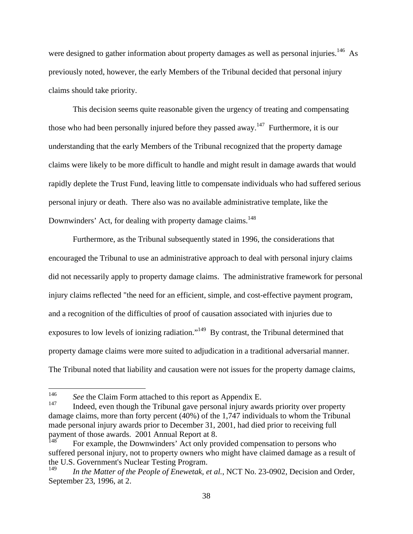were designed to gather information about property damages as well as personal injuries.<sup>146</sup> As previously noted, however, the early Members of the Tribunal decided that personal injury claims should take priority.

This decision seems quite reasonable given the urgency of treating and compensating those who had been personally injured before they passed away.<sup>147</sup> Furthermore, it is our understanding that the early Members of the Tribunal recognized that the property damage claims were likely to be more difficult to handle and might result in damage awards that would rapidly deplete the Trust Fund, leaving little to compensate individuals who had suffered serious personal injury or death. There also was no available administrative template, like the Downwinders' Act, for dealing with property damage claims.<sup>148</sup>

Furthermore, as the Tribunal subsequently stated in 1996, the considerations that encouraged the Tribunal to use an administrative approach to deal with personal injury claims did not necessarily apply to property damage claims. The administrative framework for personal injury claims reflected "the need for an efficient, simple, and cost-effective payment program, and a recognition of the difficulties of proof of causation associated with injuries due to exposures to low levels of ionizing radiation."<sup>149</sup> By contrast, the Tribunal determined that property damage claims were more suited to adjudication in a traditional adversarial manner. The Tribunal noted that liability and causation were not issues for the property damage claims,

<sup>&</sup>lt;sup>146</sup> *See* the Claim Form attached to this report as Appendix E.

Indeed, even though the Tribunal gave personal injury awards priority over property damage claims, more than forty percent (40%) of the 1,747 individuals to whom the Tribunal made personal injury awards prior to December 31, 2001, had died prior to receiving full payment of those awards. 2001 Annual Report at 8.

For example, the Downwinders' Act only provided compensation to persons who suffered personal injury, not to property owners who might have claimed damage as a result of the U.S. Government's Nuclear Testing Program.

In the Matter of the People of Enewetak, et al., NCT No. 23-0902, Decision and Order, September 23, 1996, at 2.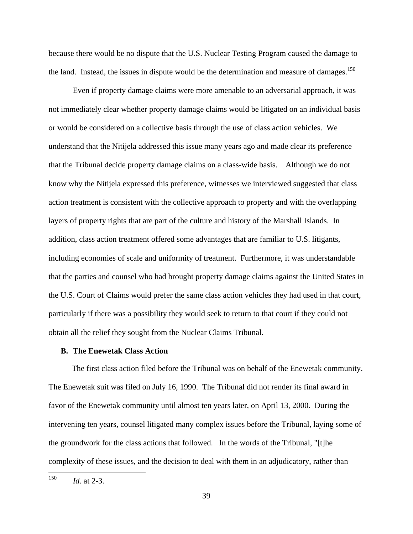because there would be no dispute that the U.S. Nuclear Testing Program caused the damage to the land. Instead, the issues in dispute would be the determination and measure of damages.<sup>150</sup>

Even if property damage claims were more amenable to an adversarial approach, it was not immediately clear whether property damage claims would be litigated on an individual basis or would be considered on a collective basis through the use of class action vehicles. We understand that the Nitijela addressed this issue many years ago and made clear its preference that the Tribunal decide property damage claims on a class-wide basis. Although we do not know why the Nitijela expressed this preference, witnesses we interviewed suggested that class action treatment is consistent with the collective approach to property and with the overlapping layers of property rights that are part of the culture and history of the Marshall Islands. In addition, class action treatment offered some advantages that are familiar to U.S. litigants, including economies of scale and uniformity of treatment. Furthermore, it was understandable that the parties and counsel who had brought property damage claims against the United States in the U.S. Court of Claims would prefer the same class action vehicles they had used in that court, particularly if there was a possibility they would seek to return to that court if they could not obtain all the relief they sought from the Nuclear Claims Tribunal.

#### **B. The Enewetak Class Action**

The first class action filed before the Tribunal was on behalf of the Enewetak community. The Enewetak suit was filed on July 16, 1990. The Tribunal did not render its final award in favor of the Enewetak community until almost ten years later, on April 13, 2000. During the intervening ten years, counsel litigated many complex issues before the Tribunal, laying some of the groundwork for the class actions that followed. In the words of the Tribunal, "[t]he complexity of these issues, and the decision to deal with them in an adjudicatory, rather than

 <sup>150</sup> *Id.* at 2-3.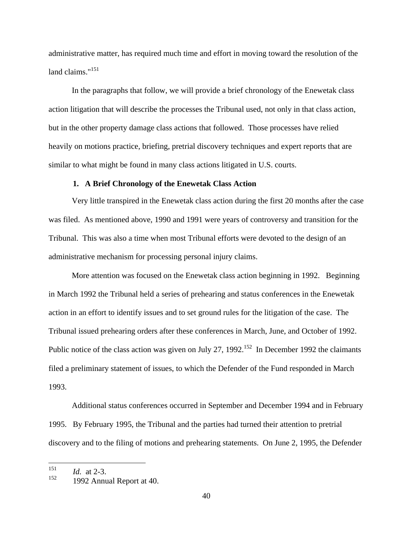administrative matter, has required much time and effort in moving toward the resolution of the  $\lambda$ land claims."<sup>151</sup>  $\text{land claims.}^{\text{151}}$ <br>In the paragraphs that follow, we will provide a brief chronology of the Enewetak class

action litigation that will describe the processes the Tribunal used, not only in that class action, but in the other property damage class actions that followed. Those processes have relied heavily on motions practice, briefing, pretrial discovery techniques and expert reports that are similar to what might be found in many class actions litigated in U.S. courts.

### **1. A Brief Chronology of the Enewetak Class Action**

Very little transpired in the Enewetak class action during the first 20 months after the case was filed. As mentioned above, 1990 and 1991 were years of controversy and transition for the Tribunal. This was also a time when most Tribunal efforts were devoted to the design of an administrative mechanism for processing personal injury claims.

More attention was focused on the Enewetak class action beginning in 1992. Beginning in March 1992 the Tribunal held a series of prehearing and status conferences in the Enewetak action in an effort to identify issues and to set ground rules for the litigation of the case. The Tribunal issued prehearing orders after these conferences in March, June, and October of 1992. Public notice of the class action was given on July 27, 1992.<sup>152</sup> In December 1992 the claimants filed a preliminary statement of issues, to which the Defender of the Fund responded in March 1993.

Additional status conferences occurred in September and December 1994 and in February 1995. By February 1995, the Tribunal and the parties had turned their attention to pretrial discovery and to the filing of motions and prehearing statements. On June 2, 1995, the Defender

 <sup>151</sup> *Id.* at 2-3.

 $152$  1992 Annual Report at 40.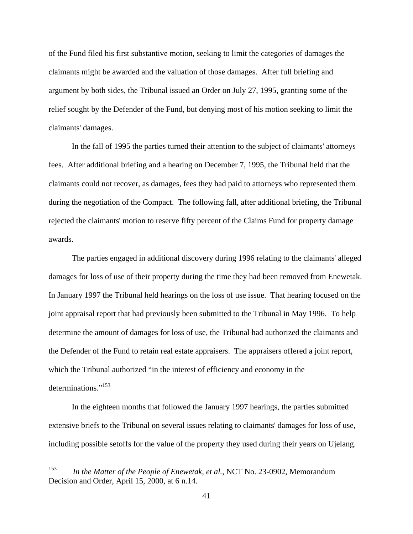of the Fund filed his first substantive motion, seeking to limit the categories of damages the claimants might be awarded and the valuation of those damages. After full briefing and argument by both sides, the Tribunal issued an Order on July 27, 1995, granting some of the relief sought by the Defender of the Fund, but denying most of his motion seeking to limit the claimants' damages.

In the fall of 1995 the parties turned their attention to the subject of claimants' attorneys fees. After additional briefing and a hearing on December 7, 1995, the Tribunal held that the claimants could not recover, as damages, fees they had paid to attorneys who represented them during the negotiation of the Compact. The following fall, after additional briefing, the Tribunal rejected the claimants' motion to reserve fifty percent of the Claims Fund for property damage awards.

The parties engaged in additional discovery during 1996 relating to the claimants' alleged damages for loss of use of their property during the time they had been removed from Enewetak. In January 1997 the Tribunal held hearings on the loss of use issue. That hearing focused on the joint appraisal report that had previously been submitted to the Tribunal in May 1996. To help determine the amount of damages for loss of use, the Tribunal had authorized the claimants and the Defender of the Fund to retain real estate appraisers. The appraisers offered a joint report, which the Tribunal authorized "in the interest of efficiency and economy in the determinations."<sup>153</sup> determinations."<sup>153</sup>

In the eighteen months that followed the January 1997 hearings, the parties submitted extensive briefs to the Tribunal on several issues relating to claimants' damages for loss of use, including possible setoffs for the value of the property they used during their years on Ujelang.

 <sup>153</sup> *In the Matter of the People of Enewetak, et al.*, NCT No. 23-0902, Memorandum Decision and Order, April 15, 2000, at 6 n.14.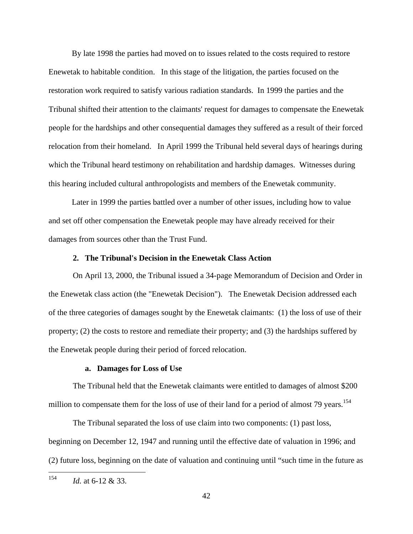By late 1998 the parties had moved on to issues related to the costs required to restore Enewetak to habitable condition. In this stage of the litigation, the parties focused on the restoration work required to satisfy various radiation standards. In 1999 the parties and the Tribunal shifted their attention to the claimants' request for damages to compensate the Enewetak people for the hardships and other consequential damages they suffered as a result of their forced relocation from their homeland. In April 1999 the Tribunal held several days of hearings during which the Tribunal heard testimony on rehabilitation and hardship damages. Witnesses during this hearing included cultural anthropologists and members of the Enewetak community.

Later in 1999 the parties battled over a number of other issues, including how to value and set off other compensation the Enewetak people may have already received for their damages from sources other than the Trust Fund.

#### **2. The Tribunal's Decision in the Enewetak Class Action**

On April 13, 2000, the Tribunal issued a 34-page Memorandum of Decision and Order in the Enewetak class action (the "Enewetak Decision"). The Enewetak Decision addressed each of the three categories of damages sought by the Enewetak claimants: (1) the loss of use of their property; (2) the costs to restore and remediate their property; and (3) the hardships suffered by the Enewetak people during their period of forced relocation.

# **a. Damages for Loss of Use**

The Tribunal held that the Enewetak claimants were entitled to damages of almost \$200 million to compensate them for the loss of use of their land for a period of almost 79 years.<sup>154</sup>

The Tribunal separated the loss of use claim into two components: (1) past loss, beginning on December 12, 1947 and running until the effective date of valuation in 1996; and (2) future loss, beginning on the date of valuation and continuing until "such time in the future as

 <sup>154</sup> *Id.* at 6-12 & 33.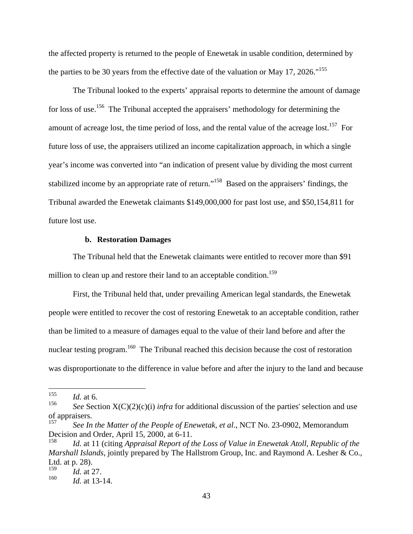the affected property is returned to the people of Enewetak in usable condition, determined by the parties to be 30 years from the effective date of the valuation or May 17, 2026."<sup>155</sup>

The Tribunal looked to the experts' appraisal reports to determine the amount of damage for loss of use.<sup>156</sup> The Tribunal accepted the appraisers' methodology for determining the amount of acreage lost, the time period of loss, and the rental value of the acreage lost.<sup>157</sup> For future loss of use, the appraisers utilized an income capitalization approach, in which a single year's income was converted into "an indication of present value by dividing the most current stabilized income by an appropriate rate of return."<sup>158</sup> Based on the appraisers' findings, the Tribunal awarded the Enewetak claimants \$149,000,000 for past lost use, and \$50,154,811 for future lost use.

#### **b. Restoration Damages**

The Tribunal held that the Enewetak claimants were entitled to recover more than \$91 million to clean up and restore their land to an acceptable condition.<sup>159</sup>

First, the Tribunal held that, under prevailing American legal standards, the Enewetak people were entitled to recover the cost of restoring Enewetak to an acceptable condition, rather than be limited to a measure of damages equal to the value of their land before and after the nuclear testing program.<sup>160</sup> The Tribunal reached this decision because the cost of restoration was disproportionate to the difference in value before and after the injury to the land and because

 <sup>155</sup> *Id.* at 6.

<sup>&</sup>lt;sup>156</sup> *See* Section  $X(C)(2)(c)(i)$  *infra* for additional discussion of the parties' selection and use of appraisers.

<sup>157</sup> *See In the Matter of the People of Enewetak, et al*., NCT No. 23-0902, Memorandum Decision and Order, April 15, 2000, at 6-11.

Id. at 11 (citing *Appraisal Report of the Loss of Value in Enewetak Atoll, Republic of the Marshall Islands*, jointly prepared by The Hallstrom Group, Inc. and Raymond A. Lesher & Co., Ltd. at  $p. 28$ ).

<sup>159</sup> *Id.* at 27.

<sup>160</sup> *Id.* at 13-14.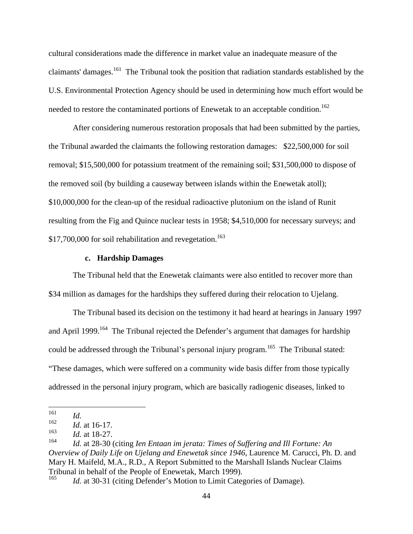cultural considerations made the difference in market value an inadequate measure of the claimants' damages.<sup>161</sup> The Tribunal took the position that radiation standards established by the U.S. Environmental Protection Agency should be used in determining how much effort would be needed to restore the contaminated portions of Enewetak to an acceptable condition.<sup>162</sup>

After considering numerous restoration proposals that had been submitted by the parties, the Tribunal awarded the claimants the following restoration damages: \$22,500,000 for soil removal; \$15,500,000 for potassium treatment of the remaining soil; \$31,500,000 to dispose of the removed soil (by building a causeway between islands within the Enewetak atoll); \$10,000,000 for the clean-up of the residual radioactive plutonium on the island of Runit resulting from the Fig and Quince nuclear tests in 1958; \$4,510,000 for necessary surveys; and \$17,700,000 for soil rehabilitation and revegetation.<sup>163</sup>

## **c. Hardship Damages**

The Tribunal held that the Enewetak claimants were also entitled to recover more than \$34 million as damages for the hardships they suffered during their relocation to Ujelang.

The Tribunal based its decision on the testimony it had heard at hearings in January 1997 and April 1999.<sup>164</sup> The Tribunal rejected the Defender's argument that damages for hardship could be addressed through the Tribunal's personal injury program.<sup>165</sup> The Tribunal stated: "These damages, which were suffered on a community wide basis differ from those typically addressed in the personal injury program, which are basically radiogenic diseases, linked to

 <sup>161</sup> *Id.*

 $162$  *Id.* at 16-17.

<sup>163</sup> *Id.* at 18-27.

<sup>164</sup> *Id.* at 28-30 (citing *Ien Entaan im jerata: Times of Suffering and Ill Fortune: An Overview of Daily Life on Ujelang and Enewetak since 1946*, Laurence M. Carucci, Ph. D. and Mary H. Maifeld, M.A., R.D., A Report Submitted to the Marshall Islands Nuclear Claims Tribunal in behalf of the People of Enewetak, March 1999).<br><sup>165</sup> *Id.* at 30.31 (giting Defender's Motion to Limit Category)

Id. at 30-31 (citing Defender's Motion to Limit Categories of Damage).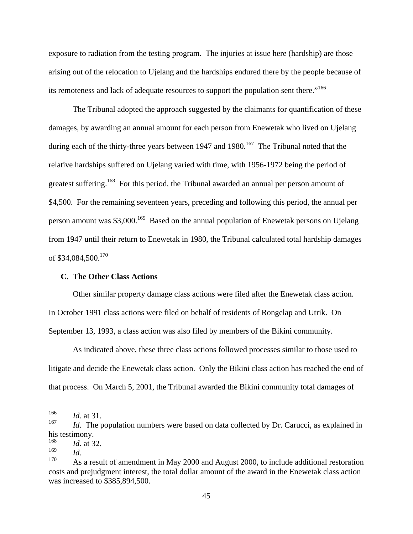exposure to radiation from the testing program. The injuries at issue here (hardship) are those arising out of the relocation to Ujelang and the hardships endured there by the people because of its remoteness and lack of adequate resources to support the population sent there."<sup>166</sup>

The Tribunal adopted the approach suggested by the claimants for quantification of these damages, by awarding an annual amount for each person from Enewetak who lived on Ujelang during each of the thirty-three years between 1947 and 1980.<sup>167</sup> The Tribunal noted that the relative hardships suffered on Ujelang varied with time, with 1956-1972 being the period of greatest suffering.<sup>168</sup> For this period, the Tribunal awarded an annual per person amount of \$4,500. For the remaining seventeen years, preceding and following this period, the annual per person amount was \$3,000.<sup>169</sup> Based on the annual population of Enewetak persons on Ujelang from 1947 until their return to Enewetak in 1980, the Tribunal calculated total hardship damages of  $$34,084,500$ .<sup>170</sup>

#### **C. The Other Class Actions**

Other similar property damage class actions were filed after the Enewetak class action. In October 1991 class actions were filed on behalf of residents of Rongelap and Utrik. On September 13, 1993, a class action was also filed by members of the Bikini community.

As indicated above, these three class actions followed processes similar to those used to litigate and decide the Enewetak class action. Only the Bikini class action has reached the end of that process. On March 5, 2001, the Tribunal awarded the Bikini community total damages of

 <sup>166</sup> *Id.* at 31.

<sup>&</sup>lt;sup>167</sup> *Id.* The population numbers were based on data collected by Dr. Carucci, as explained in his testimony. <sup>168</sup> *Id.* at 32.

<sup>169</sup> *Id.*

 $170$  As a result of amendment in May 2000 and August 2000, to include additional restoration costs and prejudgment interest, the total dollar amount of the award in the Enewetak class action was increased to \$385,894,500.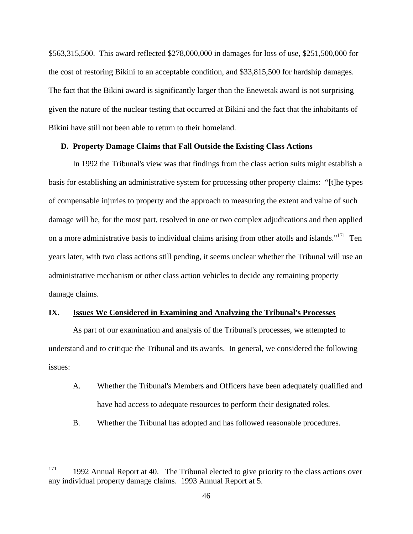\$563,315,500. This award reflected \$278,000,000 in damages for loss of use, \$251,500,000 for the cost of restoring Bikini to an acceptable condition, and \$33,815,500 for hardship damages. The fact that the Bikini award is significantly larger than the Enewetak award is not surprising given the nature of the nuclear testing that occurred at Bikini and the fact that the inhabitants of Bikini have still not been able to return to their homeland.

### **D. Property Damage Claims that Fall Outside the Existing Class Actions**

In 1992 the Tribunal's view was that findings from the class action suits might establish a basis for establishing an administrative system for processing other property claims: "[t]he types of compensable injuries to property and the approach to measuring the extent and value of such damage will be, for the most part, resolved in one or two complex adjudications and then applied on a more administrative basis to individual claims arising from other atolls and islands."171 Ten years later, with two class actions still pending, it seems unclear whether the Tribunal will use an administrative mechanism or other class action vehicles to decide any remaining property damage claims.

# **IX. Issues We Considered in Examining and Analyzing the Tribunal's Processes**

As part of our examination and analysis of the Tribunal's processes, we attempted to understand and to critique the Tribunal and its awards. In general, we considered the following issues:

- A. Whether the Tribunal's Members and Officers have been adequately qualified and have had access to adequate resources to perform their designated roles.
- B. Whether the Tribunal has adopted and has followed reasonable procedures.

 $171$  1992 Annual Report at 40. The Tribunal elected to give priority to the class actions over any individual property damage claims. 1993 Annual Report at 5.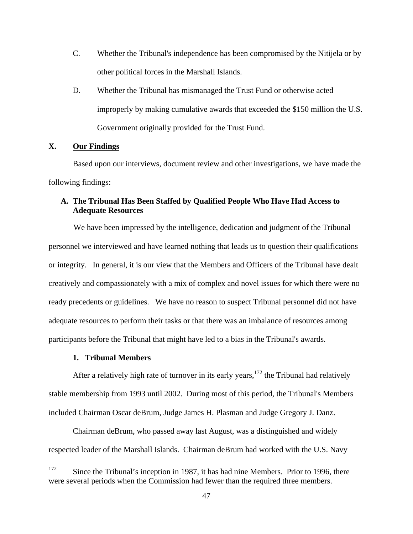- C. Whether the Tribunal's independence has been compromised by the Nitijela or by other political forces in the Marshall Islands.
- D. Whether the Tribunal has mismanaged the Trust Fund or otherwise acted improperly by making cumulative awards that exceeded the \$150 million the U.S. Government originally provided for the Trust Fund.

#### **X. Our Findings**

Based upon our interviews, document review and other investigations, we have made the following findings:

# **A. The Tribunal Has Been Staffed by Qualified People Who Have Had Access to Adequate Resources**

We have been impressed by the intelligence, dedication and judgment of the Tribunal personnel we interviewed and have learned nothing that leads us to question their qualifications or integrity. In general, it is our view that the Members and Officers of the Tribunal have dealt creatively and compassionately with a mix of complex and novel issues for which there were no ready precedents or guidelines. We have no reason to suspect Tribunal personnel did not have adequate resources to perform their tasks or that there was an imbalance of resources among participants before the Tribunal that might have led to a bias in the Tribunal's awards.

#### **1. Tribunal Members**

After a relatively high rate of turnover in its early years,  $172$  the Tribunal had relatively stable membership from 1993 until 2002. During most of this period, the Tribunal's Members included Chairman Oscar deBrum, Judge James H. Plasman and Judge Gregory J. Danz.

Chairman deBrum, who passed away last August, was a distinguished and widely respected leader of the Marshall Islands. Chairman deBrum had worked with the U.S. Navy

<sup>&</sup>lt;sup>172</sup> Since the Tribunal's inception in 1987, it has had nine Members. Prior to 1996, there were several periods when the Commission had fewer than the required three members.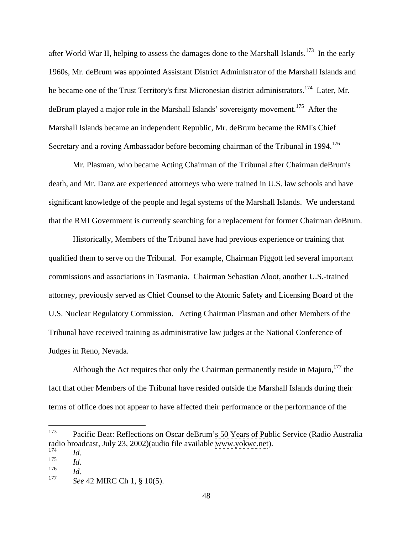after World War II, helping to assess the damages done to the Marshall Islands.<sup>173</sup> In the early 1960s, Mr. deBrum was appointed Assistant District Administrator of the Marshall Islands and he became one of the Trust Territory's first Micronesian district administrators.<sup>174</sup> Later, Mr. deBrum played a major role in the Marshall Islands' sovereignty movement.<sup>175</sup> After the Marshall Islands became an independent Republic, Mr. deBrum became the RMI's Chief Secretary and a roving Ambassador before becoming chairman of the Tribunal in 1994.<sup>176</sup>

Mr. Plasman, who became Acting Chairman of the Tribunal after Chairman deBrum's death, and Mr. Danz are experienced attorneys who were trained in U.S. law schools and have significant knowledge of the people and legal systems of the Marshall Islands. We understand that the RMI Government is currently searching for a replacement for former Chairman deBrum.

Historically, Members of the Tribunal have had previous experience or training that qualified them to serve on the Tribunal. For example, Chairman Piggott led several important commissions and associations in Tasmania. Chairman Sebastian Aloot, another U.S.-trained attorney, previously served as Chief Counsel to the Atomic Safety and Licensing Board of the U.S. Nuclear Regulatory Commission. Acting Chairman Plasman and other Members of the Tribunal have received training as administrative law judges at the National Conference of Judges in Reno, Nevada.

Although the Act requires that only the Chairman permanently reside in Majuro, $177$  the fact that other Members of the Tribunal have resided outside the Marshall Islands during their terms of office does not appear to have affected their performance or the performance of the

 <sup>173</sup> Pacific Beat: Reflections on Oscar deBrum's 50 Years of Public Service (Radio Australia radio broadcast, July 23, 2002)(audio file available [www.yokwe.net](http://www.yokwe.net)).<br> $\frac{174}{174}$ <sup>174</sup> *Id.*

<sup>175</sup> *Id.*

<sup>176</sup> *Id.*

<sup>177</sup> *See* 42 MIRC Ch 1, § 10(5).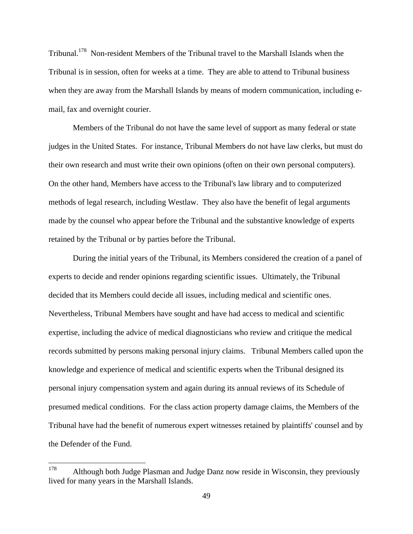Tribunal.178 Non-resident Members of the Tribunal travel to the Marshall Islands when the Tribunal is in session, often for weeks at a time. They are able to attend to Tribunal business when they are away from the Marshall Islands by means of modern communication, including e mail, fax and overnight courier.

Members of the Tribunal do not have the same level of support as many federal or state judges in the United States. For instance, Tribunal Members do not have law clerks, but must do their own research and must write their own opinions (often on their own personal computers). On the other hand, Members have access to the Tribunal's law library and to computerized methods of legal research, including Westlaw. They also have the benefit of legal arguments made by the counsel who appear before the Tribunal and the substantive knowledge of experts retained by the Tribunal or by parties before the Tribunal.

During the initial years of the Tribunal, its Members considered the creation of a panel of experts to decide and render opinions regarding scientific issues. Ultimately, the Tribunal decided that its Members could decide all issues, including medical and scientific ones. Nevertheless, Tribunal Members have sought and have had access to medical and scientific expertise, including the advice of medical diagnosticians who review and critique the medical records submitted by persons making personal injury claims. Tribunal Members called upon the knowledge and experience of medical and scientific experts when the Tribunal designed its personal injury compensation system and again during its annual reviews of its Schedule of presumed medical conditions. For the class action property damage claims, the Members of the Tribunal have had the benefit of numerous expert witnesses retained by plaintiffs' counsel and by the Defender of the Fund.

<sup>&</sup>lt;sup>178</sup> Although both Judge Plasman and Judge Danz now reside in Wisconsin, they previously lived for many years in the Marshall Islands.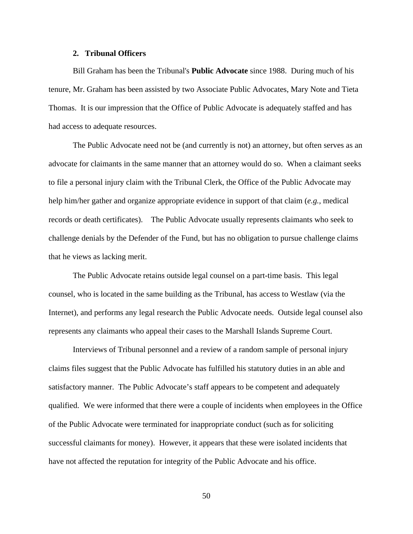#### **2. Tribunal Officers**

Bill Graham has been the Tribunal's **Public Advocate** since 1988. During much of his tenure, Mr. Graham has been assisted by two Associate Public Advocates, Mary Note and Tieta Thomas. It is our impression that the Office of Public Advocate is adequately staffed and has had access to adequate resources.

The Public Advocate need not be (and currently is not) an attorney, but often serves as an advocate for claimants in the same manner that an attorney would do so. When a claimant seeks to file a personal injury claim with the Tribunal Clerk, the Office of the Public Advocate may help him/her gather and organize appropriate evidence in support of that claim (*e.g.,* medical records or death certificates). The Public Advocate usually represents claimants who seek to challenge denials by the Defender of the Fund, but has no obligation to pursue challenge claims that he views as lacking merit.

The Public Advocate retains outside legal counsel on a part-time basis. This legal counsel, who is located in the same building as the Tribunal, has access to Westlaw (via the Internet), and performs any legal research the Public Advocate needs. Outside legal counsel also represents any claimants who appeal their cases to the Marshall Islands Supreme Court.

Interviews of Tribunal personnel and a review of a random sample of personal injury claims files suggest that the Public Advocate has fulfilled his statutory duties in an able and satisfactory manner. The Public Advocate's staff appears to be competent and adequately qualified. We were informed that there were a couple of incidents when employees in the Office of the Public Advocate were terminated for inappropriate conduct (such as for soliciting successful claimants for money). However, it appears that these were isolated incidents that have not affected the reputation for integrity of the Public Advocate and his office.

50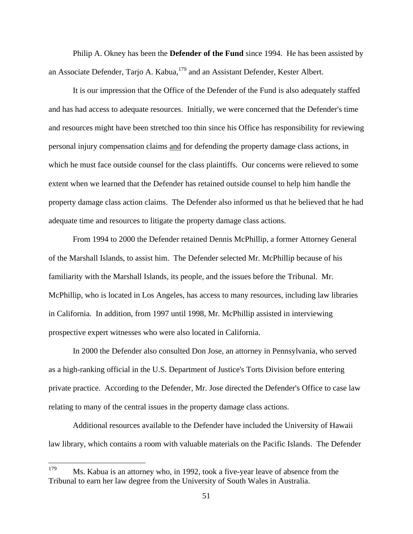Philip A. Okney has been the **Defender of the Fund** since 1994. He has been assisted by an Associate Defender, Tarjo A. Kabua, <sup>179</sup> and an Assistant Defender, Kester Albert.

It is our impression that the Office of the Defender of the Fund is also adequately staffed and has had access to adequate resources. Initially, we were concerned that the Defender's time and resources might have been stretched too thin since his Office has responsibility for reviewing personal injury compensation claims and for defending the property damage class actions, in which he must face outside counsel for the class plaintiffs. Our concerns were relieved to some extent when we learned that the Defender has retained outside counsel to help him handle the property damage class action claims. The Defender also informed us that he believed that he had adequate time and resources to litigate the property damage class actions.

From 1994 to 2000 the Defender retained Dennis McPhillip, a former Attorney General of the Marshall Islands, to assist him. The Defender selected Mr. McPhillip because of his familiarity with the Marshall Islands, its people, and the issues before the Tribunal. Mr. McPhillip, who is located in Los Angeles, has access to many resources, including law libraries in California. In addition, from 1997 until 1998, Mr. McPhillip assisted in interviewing prospective expert witnesses who were also located in California.

In 2000 the Defender also consulted Don Jose, an attorney in Pennsylvania, who served as a high-ranking official in the U.S. Department of Justice's Torts Division before entering private practice. According to the Defender, Mr. Jose directed the Defender's Office to case law relating to many of the central issues in the property damage class actions.

Additional resources available to the Defender have included the University of Hawaii law library, which contains a room with valuable materials on the Pacific Islands. The Defender

<sup>&</sup>lt;sup>179</sup> Ms. Kabua is an attorney who, in 1992, took a five-year leave of absence from the Tribunal to earn her law degree from the University of South Wales in Australia.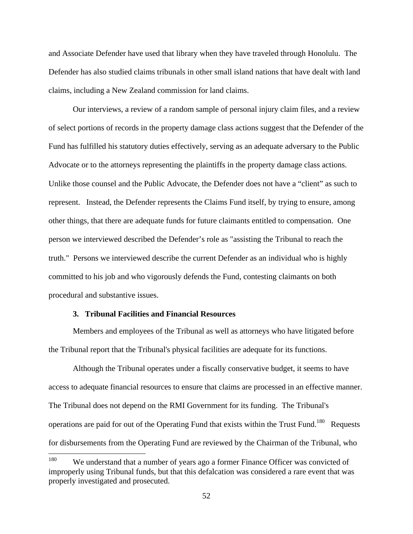and Associate Defender have used that library when they have traveled through Honolulu. The Defender has also studied claims tribunals in other small island nations that have dealt with land claims, including a New Zealand commission for land claims.

Our interviews, a review of a random sample of personal injury claim files, and a review of select portions of records in the property damage class actions suggest that the Defender of the Fund has fulfilled his statutory duties effectively, serving as an adequate adversary to the Public Advocate or to the attorneys representing the plaintiffs in the property damage class actions. Unlike those counsel and the Public Advocate, the Defender does not have a "client" as such to represent. Instead, the Defender represents the Claims Fund itself, by trying to ensure, among other things, that there are adequate funds for future claimants entitled to compensation. One person we interviewed described the Defender's role as "assisting the Tribunal to reach the truth." Persons we interviewed describe the current Defender as an individual who is highly committed to his job and who vigorously defends the Fund, contesting claimants on both procedural and substantive issues.

#### **3. Tribunal Facilities and Financial Resources**

Members and employees of the Tribunal as well as attorneys who have litigated before the Tribunal report that the Tribunal's physical facilities are adequate for its functions.

Although the Tribunal operates under a fiscally conservative budget, it seems to have access to adequate financial resources to ensure that claims are processed in an effective manner. The Tribunal does not depend on the RMI Government for its funding. The Tribunal's operations are paid for out of the Operating Fund that exists within the Trust Fund.<sup>180</sup> Requests for disbursements from the Operating Fund are reviewed by the Chairman of the Tribunal, who

<sup>&</sup>lt;sup>180</sup> We understand that a number of years ago a former Finance Officer was convicted of improperly using Tribunal funds, but that this defalcation was considered a rare event that was properly investigated and prosecuted.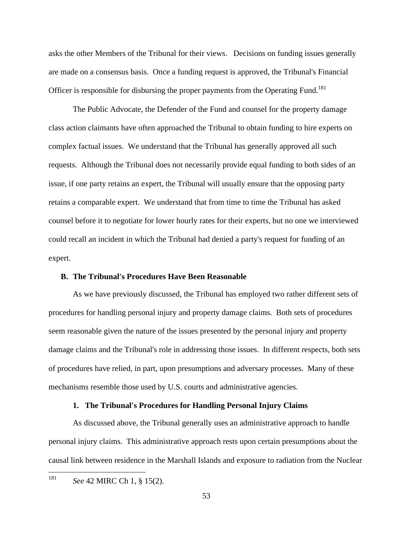asks the other Members of the Tribunal for their views. Decisions on funding issues generally are made on a consensus basis. Once a funding request is approved, the Tribunal's Financial Officer is responsible for disbursing the proper payments from the Operating Fund.<sup>181</sup>

 The Public Advocate, the Defender of the Fund and counsel for the property damage class action claimants have often approached the Tribunal to obtain funding to hire experts on complex factual issues. We understand that the Tribunal has generally approved all such requests. Although the Tribunal does not necessarily provide equal funding to both sides of an issue, if one party retains an expert, the Tribunal will usually ensure that the opposing party retains a comparable expert. We understand that from time to time the Tribunal has asked counsel before it to negotiate for lower hourly rates for their experts, but no one we interviewed could recall an incident in which the Tribunal had denied a party's request for funding of an expert.

#### **B. The Tribunal's Procedures Have Been Reasonable**

As we have previously discussed, the Tribunal has employed two rather different sets of procedures for handling personal injury and property damage claims. Both sets of procedures seem reasonable given the nature of the issues presented by the personal injury and property damage claims and the Tribunal's role in addressing those issues. In different respects, both sets of procedures have relied, in part, upon presumptions and adversary processes. Many of these mechanisms resemble those used by U.S. courts and administrative agencies.

### **1. The Tribunal's Procedures for Handling Personal Injury Claims**

As discussed above, the Tribunal generally uses an administrative approach to handle personal injury claims. This administrative approach rests upon certain presumptions about the causal link between residence in the Marshall Islands and exposure to radiation from the Nuclear

181 *See* 42 MIRC Ch 1, § 15(2).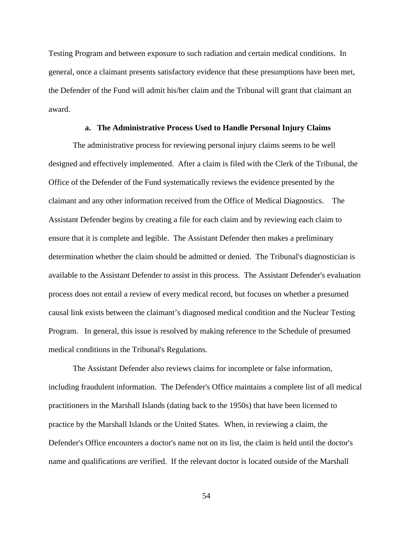Testing Program and between exposure to such radiation and certain medical conditions. In general, once a claimant presents satisfactory evidence that these presumptions have been met, the Defender of the Fund will admit his/her claim and the Tribunal will grant that claimant an award.

### **a. The Administrative Process Used to Handle Personal Injury Claims**

The administrative process for reviewing personal injury claims seems to be well designed and effectively implemented. After a claim is filed with the Clerk of the Tribunal, the Office of the Defender of the Fund systematically reviews the evidence presented by the claimant and any other information received from the Office of Medical Diagnostics. The Assistant Defender begins by creating a file for each claim and by reviewing each claim to ensure that it is complete and legible. The Assistant Defender then makes a preliminary determination whether the claim should be admitted or denied. The Tribunal's diagnostician is available to the Assistant Defender to assist in this process. The Assistant Defender's evaluation process does not entail a review of every medical record, but focuses on whether a presumed causal link exists between the claimant's diagnosed medical condition and the Nuclear Testing Program. In general, this issue is resolved by making reference to the Schedule of presumed medical conditions in the Tribunal's Regulations.

The Assistant Defender also reviews claims for incomplete or false information, including fraudulent information. The Defender's Office maintains a complete list of all medical practitioners in the Marshall Islands (dating back to the 1950s) that have been licensed to practice by the Marshall Islands or the United States. When, in reviewing a claim, the Defender's Office encounters a doctor's name not on its list, the claim is held until the doctor's name and qualifications are verified. If the relevant doctor is located outside of the Marshall

54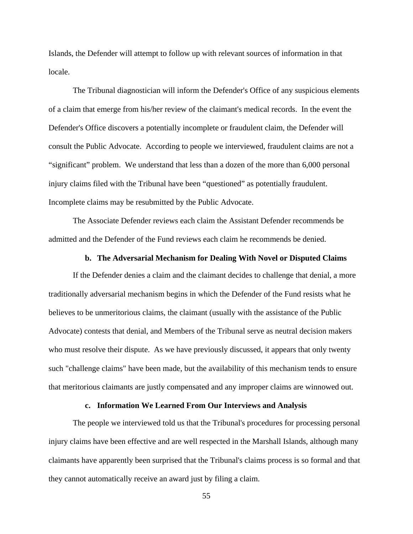Islands, the Defender will attempt to follow up with relevant sources of information in that locale.

The Tribunal diagnostician will inform the Defender's Office of any suspicious elements of a claim that emerge from his/her review of the claimant's medical records. In the event the Defender's Office discovers a potentially incomplete or fraudulent claim, the Defender will consult the Public Advocate. According to people we interviewed, fraudulent claims are not a "significant" problem. We understand that less than a dozen of the more than 6,000 personal injury claims filed with the Tribunal have been "questioned" as potentially fraudulent. Incomplete claims may be resubmitted by the Public Advocate.

The Associate Defender reviews each claim the Assistant Defender recommends be admitted and the Defender of the Fund reviews each claim he recommends be denied.

# **b. The Adversarial Mechanism for Dealing With Novel or Disputed Claims**

If the Defender denies a claim and the claimant decides to challenge that denial, a more traditionally adversarial mechanism begins in which the Defender of the Fund resists what he believes to be unmeritorious claims, the claimant (usually with the assistance of the Public Advocate) contests that denial, and Members of the Tribunal serve as neutral decision makers who must resolve their dispute. As we have previously discussed, it appears that only twenty such "challenge claims" have been made, but the availability of this mechanism tends to ensure that meritorious claimants are justly compensated and any improper claims are winnowed out.

#### **c. Information We Learned From Our Interviews and Analysis**

The people we interviewed told us that the Tribunal's procedures for processing personal injury claims have been effective and are well respected in the Marshall Islands, although many claimants have apparently been surprised that the Tribunal's claims process is so formal and that they cannot automatically receive an award just by filing a claim.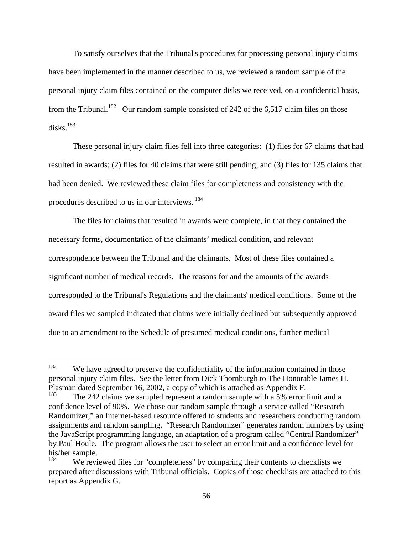To satisfy ourselves that the Tribunal's procedures for processing personal injury claims have been implemented in the manner described to us, we reviewed a random sample of the personal injury claim files contained on the computer disks we received, on a confidential basis, from the Tribunal.<sup>182</sup> Our random sample consisted of 242 of the 6,517 claim files on those  $\rm{disks.}^{183}$ 

These personal injury claim files fell into three categories: (1) files for 67 claims that had resulted in awards; (2) files for 40 claims that were still pending; and (3) files for 135 claims that had been denied. We reviewed these claim files for completeness and consistency with the procedures described to us in our interviews. <sup>184</sup>

The files for claims that resulted in awards were complete, in that they contained the necessary forms, documentation of the claimants' medical condition, and relevant correspondence between the Tribunal and the claimants. Most of these files contained a significant number of medical records. The reasons for and the amounts of the awards corresponded to the Tribunal's Regulations and the claimants' medical conditions. Some of the award files we sampled indicated that claims were initially declined but subsequently approved due to an amendment to the Schedule of presumed medical conditions, further medical

<sup>&</sup>lt;sup>182</sup> We have agreed to preserve the confidentiality of the information contained in those personal injury claim files. See the letter from Dick Thornburgh to The Honorable James H. Plasman dated September 16, 2002, a copy of which is attached as Appendix F.

The 242 claims we sampled represent a random sample with a 5% error limit and a confidence level of 90%. We chose our random sample through a service called "Research Randomizer," an Internet-based resource offered to students and researchers conducting random assignments and random sampling. "Research Randomizer" generates random numbers by using the JavaScript programming language, an adaptation of a program called "Central Randomizer" by Paul Houle. The program allows the user to select an error limit and a confidence level for his/her sample.<br> $\frac{184}{N}$ 

We reviewed files for "completeness" by comparing their contents to checklists we prepared after discussions with Tribunal officials. Copies of those checklists are attached to this report as Appendix G.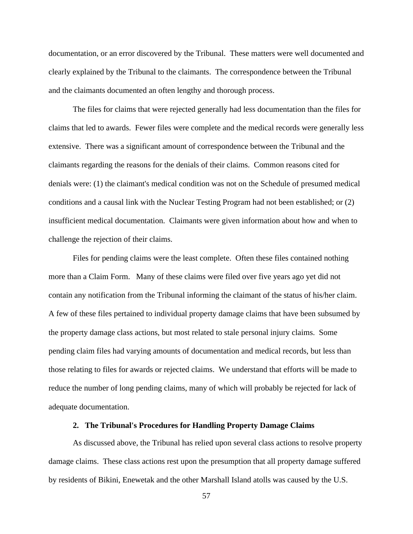documentation, or an error discovered by the Tribunal. These matters were well documented and clearly explained by the Tribunal to the claimants. The correspondence between the Tribunal and the claimants documented an often lengthy and thorough process.

The files for claims that were rejected generally had less documentation than the files for claims that led to awards. Fewer files were complete and the medical records were generally less extensive. There was a significant amount of correspondence between the Tribunal and the claimants regarding the reasons for the denials of their claims. Common reasons cited for denials were: (1) the claimant's medical condition was not on the Schedule of presumed medical conditions and a causal link with the Nuclear Testing Program had not been established; or (2) insufficient medical documentation. Claimants were given information about how and when to challenge the rejection of their claims.

Files for pending claims were the least complete. Often these files contained nothing more than a Claim Form. Many of these claims were filed over five years ago yet did not contain any notification from the Tribunal informing the claimant of the status of his/her claim. A few of these files pertained to individual property damage claims that have been subsumed by the property damage class actions, but most related to stale personal injury claims. Some pending claim files had varying amounts of documentation and medical records, but less than those relating to files for awards or rejected claims. We understand that efforts will be made to reduce the number of long pending claims, many of which will probably be rejected for lack of adequate documentation.

#### **2. The Tribunal's Procedures for Handling Property Damage Claims**

As discussed above, the Tribunal has relied upon several class actions to resolve property damage claims. These class actions rest upon the presumption that all property damage suffered by residents of Bikini, Enewetak and the other Marshall Island atolls was caused by the U.S.

57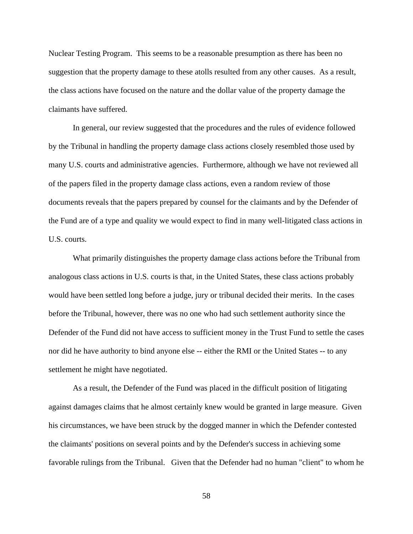Nuclear Testing Program. This seems to be a reasonable presumption as there has been no suggestion that the property damage to these atolls resulted from any other causes. As a result, the class actions have focused on the nature and the dollar value of the property damage the claimants have suffered.

In general, our review suggested that the procedures and the rules of evidence followed by the Tribunal in handling the property damage class actions closely resembled those used by many U.S. courts and administrative agencies. Furthermore, although we have not reviewed all of the papers filed in the property damage class actions, even a random review of those documents reveals that the papers prepared by counsel for the claimants and by the Defender of the Fund are of a type and quality we would expect to find in many well-litigated class actions in U.S. courts.

What primarily distinguishes the property damage class actions before the Tribunal from analogous class actions in U.S. courts is that, in the United States, these class actions probably would have been settled long before a judge, jury or tribunal decided their merits. In the cases before the Tribunal, however, there was no one who had such settlement authority since the Defender of the Fund did not have access to sufficient money in the Trust Fund to settle the cases nor did he have authority to bind anyone else -- either the RMI or the United States -- to any settlement he might have negotiated.

As a result, the Defender of the Fund was placed in the difficult position of litigating against damages claims that he almost certainly knew would be granted in large measure. Given his circumstances, we have been struck by the dogged manner in which the Defender contested the claimants' positions on several points and by the Defender's success in achieving some favorable rulings from the Tribunal. Given that the Defender had no human "client" to whom he

58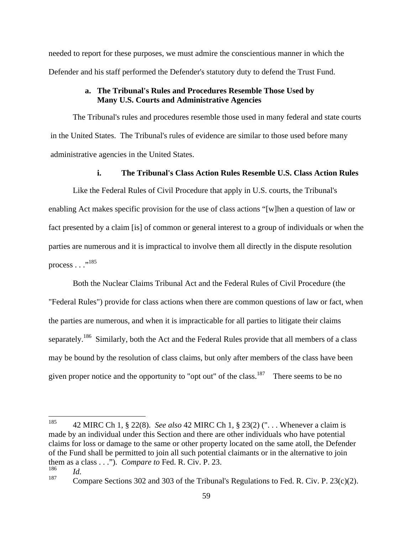needed to report for these purposes, we must admire the conscientious manner in which the Defender and his staff performed the Defender's statutory duty to defend the Trust Fund.

# **a. The Tribunal's Rules and Procedures Resemble Those Used by Many U.S. Courts and Administrative Agencies**

The Tribunal's rules and procedures resemble those used in many federal and state courts in the United States. The Tribunal's rules of evidence are similar to those used before many administrative agencies in the United States.

### **i. The Tribunal's Class Action Rules Resemble U.S. Class Action Rules**

Like the Federal Rules of Civil Procedure that apply in U.S. courts, the Tribunal's enabling Act makes specific provision for the use of class actions "[w]hen a question of law or fact presented by a claim [is] of common or general interest to a group of individuals or when the parties are numerous and it is impractical to involve them all directly in the dispute resolution  $\text{process} \dots$ <sup>,,185</sup> process . . ."<sup>185</sup><br>Both the Nuclear Claims Tribunal Act and the Federal Rules of Civil Procedure (the

"Federal Rules") provide for class actions when there are common questions of law or fact, when the parties are numerous, and when it is impracticable for all parties to litigate their claims separately.<sup>186</sup> Similarly, both the Act and the Federal Rules provide that all members of a class may be bound by the resolution of class claims, but only after members of the class have been given proper notice and the opportunity to "opt out" of the class.<sup>187</sup> There seems to be no

 <sup>185</sup> 42 MIRC Ch 1, § 22(8). *See also* 42 MIRC Ch 1, § 23(2) (". . . Whenever a claim is made by an individual under this Section and there are other individuals who have potential claims for loss or damage to the same or other property located on the same atoll, the Defender of the Fund shall be permitted to join all such potential claimants or in the alternative to join them as a class  $\dots$ "). *Compare to* Fed. R. Civ. P. 23. <sup>186</sup> *Id.*

<sup>&</sup>lt;sup>187</sup> Compare Sections 302 and 303 of the Tribunal's Regulations to Fed. R. Civ. P. 23(c)(2).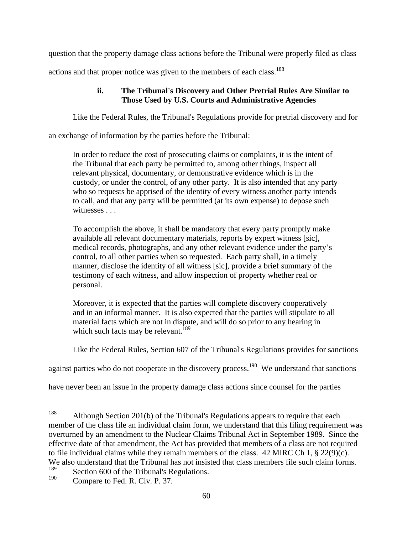question that the property damage class actions before the Tribunal were properly filed as class

actions and that proper notice was given to the members of each class.<sup>188</sup>

# **ii. The Tribunal's Discovery and Other Pretrial Rules Are Similar to Those Used by U.S. Courts and Administrative Agencies**

Like the Federal Rules, the Tribunal's Regulations provide for pretrial discovery and for

an exchange of information by the parties before the Tribunal:

In order to reduce the cost of prosecuting claims or complaints, it is the intent of the Tribunal that each party be permitted to, among other things, inspect all relevant physical, documentary, or demonstrative evidence which is in the custody, or under the control, of any other party. It is also intended that any party who so requests be apprised of the identity of every witness another party intends to call, and that any party will be permitted (at its own expense) to depose such witnesses . . .

To accomplish the above, it shall be mandatory that every party promptly make available all relevant documentary materials, reports by expert witness [sic], medical records, photographs, and any other relevant evidence under the party's control, to all other parties when so requested. Each party shall, in a timely manner, disclose the identity of all witness [sic], provide a brief summary of the testimony of each witness, and allow inspection of property whether real or personal.

Moreover, it is expected that the parties will complete discovery cooperatively and in an informal manner. It is also expected that the parties will stipulate to all material facts which are not in dispute, and will do so prior to any hearing in which such facts may be relevant.<sup>189</sup>

Like the Federal Rules, Section 607 of the Tribunal's Regulations provides for sanctions

against parties who do not cooperate in the discovery process.<sup>190</sup> We understand that sanctions

have never been an issue in the property damage class actions since counsel for the parties

<sup>&</sup>lt;sup>188</sup> Although Section 201(b) of the Tribunal's Regulations appears to require that each member of the class file an individual claim form, we understand that this filing requirement was overturned by an amendment to the Nuclear Claims Tribunal Act in September 1989. Since the effective date of that amendment, the Act has provided that members of a class are not required to file individual claims while they remain members of the class. 42 MIRC Ch 1, § 22(9)(c). We also understand that the Tribunal has not insisted that class members file such claim forms.<br> $\frac{189}{189}$ 

<sup>&</sup>lt;sup>189</sup> Section 600 of the Tribunal's Regulations.

Compare to Fed. R. Civ. P. 37.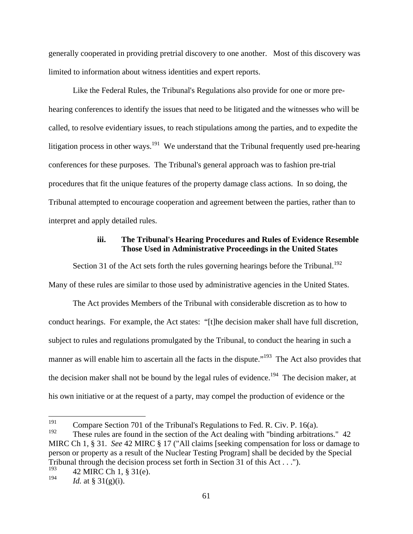generally cooperated in providing pretrial discovery to one another. Most of this discovery was limited to information about witness identities and expert reports.

Like the Federal Rules, the Tribunal's Regulations also provide for one or more pre hearing conferences to identify the issues that need to be litigated and the witnesses who will be called, to resolve evidentiary issues, to reach stipulations among the parties, and to expedite the litigation process in other ways.<sup>191</sup> We understand that the Tribunal frequently used pre-hearing conferences for these purposes. The Tribunal's general approach was to fashion pre-trial procedures that fit the unique features of the property damage class actions. In so doing, the Tribunal attempted to encourage cooperation and agreement between the parties, rather than to interpret and apply detailed rules.

# **iii. The Tribunal's Hearing Procedures and Rules of Evidence Resemble Those Used in Administrative Proceedings in the United States**

Section 31 of the Act sets forth the rules governing hearings before the Tribunal.<sup>192</sup> Many of these rules are similar to those used by administrative agencies in the United States.

The Act provides Members of the Tribunal with considerable discretion as to how to conduct hearings. For example, the Act states: "[t]he decision maker shall have full discretion, subject to rules and regulations promulgated by the Tribunal, to conduct the hearing in such a manner as will enable him to ascertain all the facts in the dispute.<sup>"193</sup> The Act also provides that the decision maker shall not be bound by the legal rules of evidence.<sup>194</sup> The decision maker, at his own initiative or at the request of a party, may compel the production of evidence or the

<sup>&</sup>lt;sup>191</sup> Compare Section 701 of the Tribunal's Regulations to Fed. R. Civ. P. 16(a).<br><sup>192</sup> These rules are found in the section of the Ast dealing with "hinding aphitted"

These rules are found in the section of the Act dealing with "binding arbitrations." 42 MIRC Ch 1, § 31. *See* 42 MIRC § 17 ("All claims [seeking compensation for loss or damage to person or property as a result of the Nuclear Testing Program] shall be decided by the Special Tribunal through the decision process set forth in Section 31 of this Act . . .").

 $193$  42 MIRC Ch 1, § 31(e).

<sup>194</sup> *Id.* at § 31(g)(i).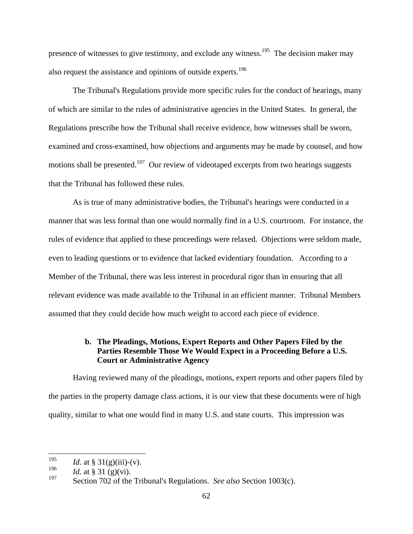presence of witnesses to give testimony, and exclude any witness.<sup>195</sup> The decision maker may also request the assistance and opinions of outside experts.<sup>196</sup>

 The Tribunal's Regulations provide more specific rules for the conduct of hearings, many of which are similar to the rules of administrative agencies in the United States. In general, the Regulations prescribe how the Tribunal shall receive evidence, how witnesses shall be sworn, examined and cross-examined, how objections and arguments may be made by counsel, and how motions shall be presented.<sup>197</sup> Our review of videotaped excerpts from two hearings suggests that the Tribunal has followed these rules.

As is true of many administrative bodies, the Tribunal's hearings were conducted in a manner that was less formal than one would normally find in a U.S. courtroom. For instance, the rules of evidence that applied to these proceedings were relaxed. Objections were seldom made, even to leading questions or to evidence that lacked evidentiary foundation. According to a Member of the Tribunal, there was less interest in procedural rigor than in ensuring that all relevant evidence was made available to the Tribunal in an efficient manner. Tribunal Members assumed that they could decide how much weight to accord each piece of evidence.

# **b. The Pleadings, Motions, Expert Reports and Other Papers Filed by the Parties Resemble Those We Would Expect in a Proceeding Before a U.S. Court or Administrative Agency**

Having reviewed many of the pleadings, motions, expert reports and other papers filed by the parties in the property damage class actions, it is our view that these documents were of high quality, similar to what one would find in many U.S. and state courts. This impression was

<sup>195</sup> *Id.* at § 31(g)(iii)-(v).

<sup>&</sup>lt;sup>196</sup> *Id.* at § 31 (g)(vi).

<sup>197</sup> Section 702 of the Tribunal's Regulations. *See also* Section 1003(c).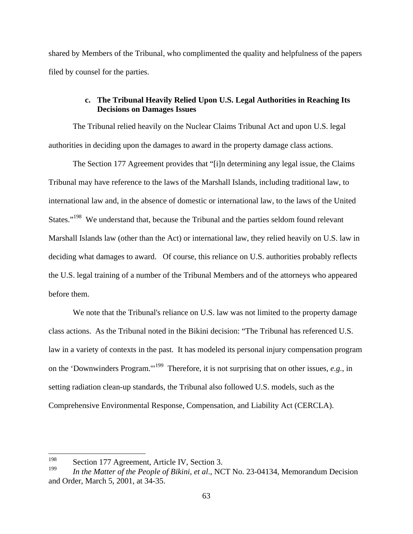shared by Members of the Tribunal, who complimented the quality and helpfulness of the papers filed by counsel for the parties.

# **c. The Tribunal Heavily Relied Upon U.S. Legal Authorities in Reaching Its Decisions on Damages Issues**

The Tribunal relied heavily on the Nuclear Claims Tribunal Act and upon U.S. legal authorities in deciding upon the damages to award in the property damage class actions.

The Section 177 Agreement provides that "[i]n determining any legal issue, the Claims Tribunal may have reference to the laws of the Marshall Islands, including traditional law, to international law and, in the absence of domestic or international law, to the laws of the United States."<sup>198</sup> We understand that, because the Tribunal and the parties seldom found relevant Marshall Islands law (other than the Act) or international law, they relied heavily on U.S. law in deciding what damages to award. Of course, this reliance on U.S. authorities probably reflects the U.S. legal training of a number of the Tribunal Members and of the attorneys who appeared before them.

We note that the Tribunal's reliance on U.S. law was not limited to the property damage class actions. As the Tribunal noted in the Bikini decision: "The Tribunal has referenced U.S. law in a variety of contexts in the past. It has modeled its personal injury compensation program on the 'Downwinders Program.'"199 Therefore, it is not surprising that on other issues, *e.g.*, in setting radiation clean-up standards, the Tribunal also followed U.S. models, such as the Comprehensive Environmental Response, Compensation, and Liability Act (CERCLA).

 <sup>198</sup> Section 177 Agreement, Article IV, Section 3.

<sup>199</sup> *In the Matter of the People of Bikini, et al*., NCT No. 23-04134, Memorandum Decision and Order, March 5, 2001, at 34-35.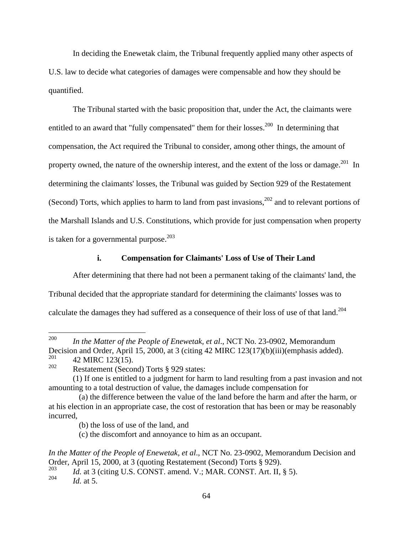In deciding the Enewetak claim, the Tribunal frequently applied many other aspects of U.S. law to decide what categories of damages were compensable and how they should be quantified.

The Tribunal started with the basic proposition that, under the Act, the claimants were entitled to an award that "fully compensated" them for their losses.<sup>200</sup> In determining that compensation, the Act required the Tribunal to consider, among other things, the amount of property owned, the nature of the ownership interest, and the extent of the loss or damage.<sup>201</sup> In determining the claimants' losses, the Tribunal was guided by Section 929 of the Restatement (Second) Torts, which applies to harm to land from past invasions,  $202$  and to relevant portions of the Marshall Islands and U.S. Constitutions, which provide for just compensation when property is taken for a governmental purpose. $203$ 

#### **i. Compensation for Claimants' Loss of Use of Their Land**

After determining that there had not been a permanent taking of the claimants' land, the Tribunal decided that the appropriate standard for determining the claimants' losses was to calculate the damages they had suffered as a consequence of their loss of use of that land.<sup>204</sup>

 <sup>200</sup> *In the Matter of the People of Enewetak, et al*., NCT No. 23-0902, Memorandum Decision and Order, April 15, 2000, at 3 (citing 42 MIRC 123(17)(b)(iii)(emphasis added).<br> $^{201}$  42 MIRC 123(15)

 $^{201}$  42 MIRC 123(15).

<sup>&</sup>lt;sup>202</sup> Restatement (Second) Torts  $\frac{8}{3}$  929 states:

 <sup>(1)</sup> If one is entitled to a judgment for harm to land resulting from a past invasion and not amounting to a total destruction of value, the damages include compensation for

 <sup>(</sup>a) the difference between the value of the land before the harm and after the harm, or at his election in an appropriate case, the cost of restoration that has been or may be reasonably incurred,

 <sup>(</sup>b) the loss of use of the land, and

 <sup>(</sup>c) the discomfort and annoyance to him as an occupant.

*In the Matter of the People of Enewetak, et al*., NCT No. 23-0902, Memorandum Decision and Order, April 15, 2000, at 3 (quoting Restatement (Second) Torts § 929).

<sup>&</sup>lt;sup>203</sup> *Id.* at 3 (citing U.S. CONST. amend. V.; MAR. CONST. Art. II, § 5).

<sup>204</sup> *Id.* at 5.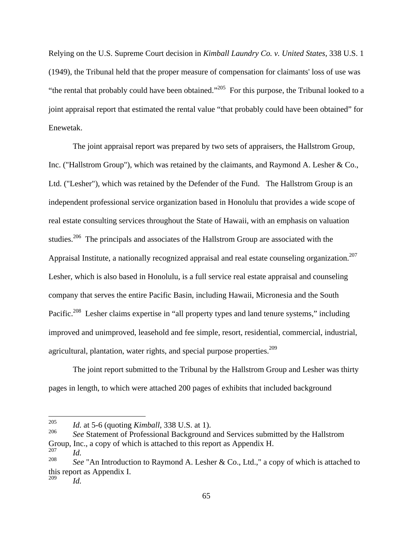Relying on the U.S. Supreme Court decision in *Kimball Laundry Co. v. United States*, 338 U.S. 1 (1949), the Tribunal held that the proper measure of compensation for claimants' loss of use was "the rental that probably could have been obtained."205 For this purpose, the Tribunal looked to a joint appraisal report that estimated the rental value "that probably could have been obtained" for Enewetak.

The joint appraisal report was prepared by two sets of appraisers, the Hallstrom Group, Inc. ("Hallstrom Group"), which was retained by the claimants, and Raymond A. Lesher & Co., Ltd. ("Lesher"), which was retained by the Defender of the Fund. The Hallstrom Group is an independent professional service organization based in Honolulu that provides a wide scope of real estate consulting services throughout the State of Hawaii, with an emphasis on valuation studies.<sup>206</sup> The principals and associates of the Hallstrom Group are associated with the Appraisal Institute, a nationally recognized appraisal and real estate counseling organization.<sup>207</sup><br>Lesher, which is also based in Honolulu, is a full service real estate appraisal and counseling company that serves the entire Pacific Basin, including Hawaii, Micronesia and the South Pacific.<sup>208</sup> Lesher claims expertise in "all property types and land tenure systems," including improved and unimproved, leasehold and fee simple, resort, residential, commercial, industrial, agricultural, plantation, water rights, and special purpose properties.<sup>209</sup>

 The joint report submitted to the Tribunal by the Hallstrom Group and Lesher was thirty pages in length, to which were attached 200 pages of exhibits that included background

 <sup>205</sup> *Id.* at 5-6 (quoting *Kimball*, 338 U.S. at 1).

<sup>&</sup>lt;sup>206</sup> *See* Statement of Professional Background and Services submitted by the Hallstrom Group, Inc., a copy of which is attached to this report as Appendix H.  $^{207}$ <sup>207</sup> *Id.*

<sup>&</sup>lt;sup>208</sup> *See* "An Introduction to Raymond A. Lesher & Co., Ltd.," a copy of which is attached to this report as Appendix I. <sup>209</sup> *Id.*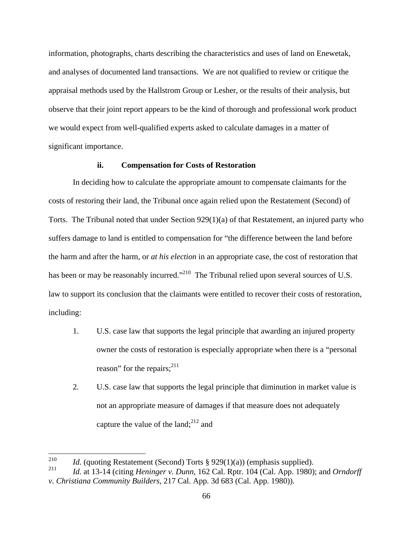information, photographs, charts describing the characteristics and uses of land on Enewetak, and analyses of documented land transactions. We are not qualified to review or critique the appraisal methods used by the Hallstrom Group or Lesher, or the results of their analysis, but observe that their joint report appears to be the kind of thorough and professional work product we would expect from well-qualified experts asked to calculate damages in a matter of significant importance.

#### **ii. Compensation for Costs of Restoration**

In deciding how to calculate the appropriate amount to compensate claimants for the costs of restoring their land, the Tribunal once again relied upon the Restatement (Second) of Torts. The Tribunal noted that under Section 929(1)(a) of that Restatement, an injured party who suffers damage to land is entitled to compensation for "the difference between the land before the harm and after the harm, or *at his election* in an appropriate case, the cost of restoration that has been or may be reasonably incurred."<sup>210</sup> The Tribunal relied upon several sources of U.S. law to support its conclusion that the claimants were entitled to recover their costs of restoration, including:

- 1. U.S. case law that supports the legal principle that awarding an injured property owner the costs of restoration is especially appropriate when there is a "personal reason" for the repairs;<sup>211</sup>
- 2. U.S. case law that supports the legal principle that diminution in market value is not an appropriate measure of damages if that measure does not adequately capture the value of the land; $^{212}$  and

<sup>&</sup>lt;sup>210</sup> *Id.* (quoting Restatement (Second) Torts § 929(1)(a)) (emphasis supplied).

<sup>211</sup> *Id.* at 13-14 (citing *Heninger v. Dunn*, 162 Cal. Rptr. 104 (Cal. App. 1980); and *Orndorff v. Christiana Community Builders*, 217 Cal. App. 3d 683 (Cal. App. 1980)).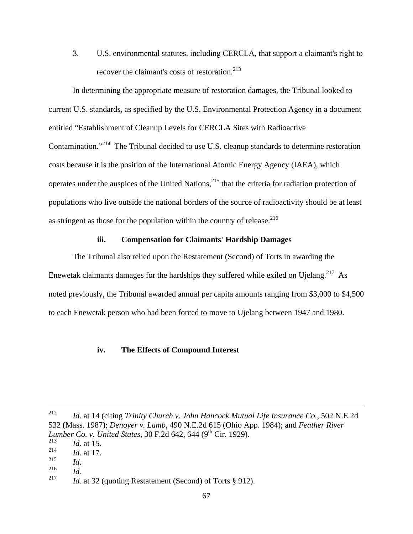3. U.S. environmental statutes, including CERCLA, that support a claimant's right to recover the claimant's costs of restoration.<sup>213</sup>

 In determining the appropriate measure of restoration damages, the Tribunal looked to current U.S. standards, as specified by the U.S. Environmental Protection Agency in a document entitled "Establishment of Cleanup Levels for CERCLA Sites with Radioactive Contamination."<sup>214</sup> The Tribunal decided to use U.S. cleanup standards to determine restoration costs because it is the position of the International Atomic Energy Agency (IAEA), which operates under the auspices of the United Nations,<sup>215</sup> that the criteria for radiation protection of populations who live outside the national borders of the source of radioactivity should be at least as stringent as those for the population within the country of release. $216$ 

# **iii. Compensation for Claimants' Hardship Damages**

The Tribunal also relied upon the Restatement (Second) of Torts in awarding the Enewetak claimants damages for the hardships they suffered while exiled on Ujelang.<sup>217</sup> As noted previously, the Tribunal awarded annual per capita amounts ranging from \$3,000 to \$4,500 to each Enewetak person who had been forced to move to Ujelang between 1947 and 1980.

#### **iv. The Effects of Compound Interest**

<sup>216</sup> *Id.*

 <sup>212</sup> *Id.* at 14 (citing *Trinity Church v. John Hancock Mutual Life Insurance Co.*, 502 N.E.2d 532 (Mass. 1987); *Denoyer v. Lamb*, 490 N.E.2d 615 (Ohio App. 1984); and *Feather River Lumber Co. v. United States,* 30 F.2d 642, 644 (9<sup>th</sup> Cir. 1929). <sup>213</sup> *Id.* at 15.

<sup>214</sup> *Id.* at 17.

<sup>215</sup> *Id.*

<sup>217</sup> *Id.* at 32 (quoting Restatement (Second) of Torts § 912).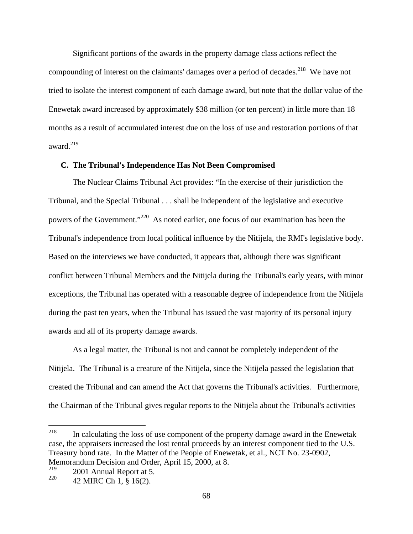Significant portions of the awards in the property damage class actions reflect the compounding of interest on the claimants' damages over a period of decades.<sup>218</sup> We have not tried to isolate the interest component of each damage award, but note that the dollar value of the Enewetak award increased by approximately \$38 million (or ten percent) in little more than 18 months as a result of accumulated interest due on the loss of use and restoration portions of that award. $^{219}$ 

## **C. The Tribunal's Independence Has Not Been Compromised**

The Nuclear Claims Tribunal Act provides: "In the exercise of their jurisdiction the Tribunal, and the Special Tribunal . . . shall be independent of the legislative and executive powers of the Government."220 As noted earlier, one focus of our examination has been the Tribunal's independence from local political influence by the Nitijela, the RMI's legislative body. Based on the interviews we have conducted, it appears that, although there was significant conflict between Tribunal Members and the Nitijela during the Tribunal's early years, with minor exceptions, the Tribunal has operated with a reasonable degree of independence from the Nitijela during the past ten years, when the Tribunal has issued the vast majority of its personal injury awards and all of its property damage awards.

As a legal matter, the Tribunal is not and cannot be completely independent of the Nitijela. The Tribunal is a creature of the Nitijela, since the Nitijela passed the legislation that created the Tribunal and can amend the Act that governs the Tribunal's activities. Furthermore, the Chairman of the Tribunal gives regular reports to the Nitijela about the Tribunal's activities

<sup>218</sup> In calculating the loss of use component of the property damage award in the Enewetak case, the appraisers increased the lost rental proceeds by an interest component tied to the U.S. Treasury bond rate. In the Matter of the People of Enewetak, et al., NCT No. 23-0902, Memorandum Decision and Order, April 15, 2000, at 8.<br> $219$  2001 Annual Depart of  $\overline{5}$ 

 $2001$  Annual Report at 5.

 $^{220}$  42 MIRC Ch 1, § 16(2).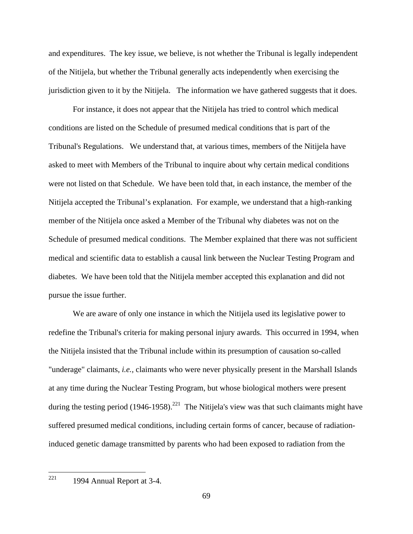and expenditures. The key issue, we believe, is not whether the Tribunal is legally independent of the Nitijela, but whether the Tribunal generally acts independently when exercising the jurisdiction given to it by the Nitijela. The information we have gathered suggests that it does.

For instance, it does not appear that the Nitijela has tried to control which medical conditions are listed on the Schedule of presumed medical conditions that is part of the Tribunal's Regulations. We understand that, at various times, members of the Nitijela have asked to meet with Members of the Tribunal to inquire about why certain medical conditions were not listed on that Schedule. We have been told that, in each instance, the member of the Nitijela accepted the Tribunal's explanation. For example, we understand that a high-ranking member of the Nitijela once asked a Member of the Tribunal why diabetes was not on the Schedule of presumed medical conditions. The Member explained that there was not sufficient medical and scientific data to establish a causal link between the Nuclear Testing Program and diabetes. We have been told that the Nitijela member accepted this explanation and did not pursue the issue further.

We are aware of only one instance in which the Nitijela used its legislative power to redefine the Tribunal's criteria for making personal injury awards. This occurred in 1994, when the Nitijela insisted that the Tribunal include within its presumption of causation so-called "underage" claimants, *i.e.,* claimants who were never physically present in the Marshall Islands at any time during the Nuclear Testing Program, but whose biological mothers were present during the testing period  $(1946-1958)$ .<sup>221</sup> The Nitijela's view was that such claimants might have suffered presumed medical conditions, including certain forms of cancer, because of radiationinduced genetic damage transmitted by parents who had been exposed to radiation from the

 <sup>221</sup> 1994 Annual Report at 3-4.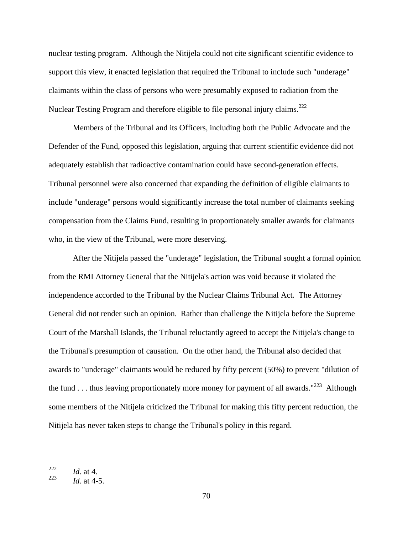nuclear testing program. Although the Nitijela could not cite significant scientific evidence to support this view, it enacted legislation that required the Tribunal to include such "underage" claimants within the class of persons who were presumably exposed to radiation from the Nuclear Testing Program and therefore eligible to file personal injury claims.<sup>222</sup>

Members of the Tribunal and its Officers, including both the Public Advocate and the Defender of the Fund, opposed this legislation, arguing that current scientific evidence did not adequately establish that radioactive contamination could have second-generation effects. Tribunal personnel were also concerned that expanding the definition of eligible claimants to include "underage" persons would significantly increase the total number of claimants seeking compensation from the Claims Fund, resulting in proportionately smaller awards for claimants who, in the view of the Tribunal, were more deserving.

After the Nitijela passed the "underage" legislation, the Tribunal sought a formal opinion from the RMI Attorney General that the Nitijela's action was void because it violated the independence accorded to the Tribunal by the Nuclear Claims Tribunal Act. The Attorney General did not render such an opinion. Rather than challenge the Nitijela before the Supreme Court of the Marshall Islands, the Tribunal reluctantly agreed to accept the Nitijela's change to the Tribunal's presumption of causation. On the other hand, the Tribunal also decided that awards to "underage" claimants would be reduced by fifty percent (50%) to prevent "dilution of the fund . . . thus leaving proportionately more money for payment of all awards."<sup>223</sup> Although Although some members of the Nitijela criticized the Tribunal for making this fifty percent reduction, the Nitijela has never taken steps to change the Tribunal's policy in this regard.

 <sup>222</sup> *Id.* at 4.

<sup>223</sup> *Id.* at 4-5.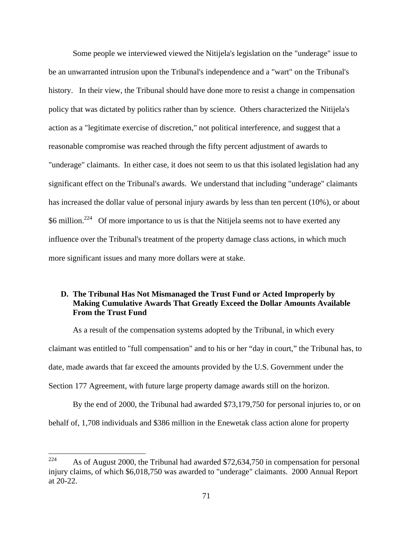Some people we interviewed viewed the Nitijela's legislation on the "underage" issue to be an unwarranted intrusion upon the Tribunal's independence and a "wart" on the Tribunal's history. In their view, the Tribunal should have done more to resist a change in compensation policy that was dictated by politics rather than by science. Others characterized the Nitijela's action as a "legitimate exercise of discretion," not political interference, and suggest that a reasonable compromise was reached through the fifty percent adjustment of awards to "underage" claimants. In either case, it does not seem to us that this isolated legislation had any significant effect on the Tribunal's awards. We understand that including "underage" claimants has increased the dollar value of personal injury awards by less than ten percent (10%), or about \$6 million.<sup>224</sup> Of more importance to us is that the Nitijela seems not to have exerted any influence over the Tribunal's treatment of the property damage class actions, in which much more significant issues and many more dollars were at stake.

## **D. The Tribunal Has Not Mismanaged the Trust Fund or Acted Improperly by Making Cumulative Awards That Greatly Exceed the Dollar Amounts Available From the Trust Fund**

As a result of the compensation systems adopted by the Tribunal, in which every claimant was entitled to "full compensation" and to his or her "day in court," the Tribunal has, to date, made awards that far exceed the amounts provided by the U.S. Government under the Section 177 Agreement, with future large property damage awards still on the horizon.

By the end of 2000, the Tribunal had awarded \$73,179,750 for personal injuries to, or on behalf of, 1,708 individuals and \$386 million in the Enewetak class action alone for property

<sup>&</sup>lt;sup>224</sup> As of August 2000, the Tribunal had awarded \$72,634,750 in compensation for personal injury claims, of which \$6,018,750 was awarded to "underage" claimants. 2000 Annual Report at 20-22.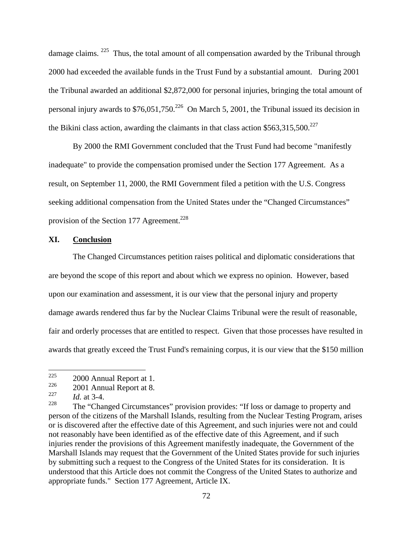damage claims. <sup>225</sup> Thus, the total amount of all compensation awarded by the Tribunal through 2000 had exceeded the available funds in the Trust Fund by a substantial amount. During 2001 the Tribunal awarded an additional \$2,872,000 for personal injuries, bringing the total amount of personal injury awards to  $$76,051,750.<sup>226</sup>$  On March 5, 2001, the Tribunal issued its decision in the Bikini class action, awarding the claimants in that class action  $$563,315,500.<sup>227</sup>$ 

By 2000 the RMI Government concluded that the Trust Fund had become "manifestly inadequate" to provide the compensation promised under the Section 177 Agreement. As a result, on September 11, 2000, the RMI Government filed a petition with the U.S. Congress seeking additional compensation from the United States under the "Changed Circumstances" provision of the Section 177 Agreement.<sup>228</sup>

## **XI. Conclusion**

The Changed Circumstances petition raises political and diplomatic considerations that are beyond the scope of this report and about which we express no opinion. However, based upon our examination and assessment, it is our view that the personal injury and property damage awards rendered thus far by the Nuclear Claims Tribunal were the result of reasonable, fair and orderly processes that are entitled to respect. Given that those processes have resulted in awards that greatly exceed the Trust Fund's remaining corpus, it is our view that the \$150 million

 <sup>225</sup> 2000 Annual Report at 1.

 $2001$  Annual Report at 8.

<sup>227</sup> *Id.* at 3-4.

<sup>&</sup>lt;sup>228</sup> The "Changed Circumstances" provision provides: "If loss or damage to property and person of the citizens of the Marshall Islands, resulting from the Nuclear Testing Program, arises or is discovered after the effective date of this Agreement, and such injuries were not and could not reasonably have been identified as of the effective date of this Agreement, and if such injuries render the provisions of this Agreement manifestly inadequate, the Government of the Marshall Islands may request that the Government of the United States provide for such injuries by submitting such a request to the Congress of the United States for its consideration. It is understood that this Article does not commit the Congress of the United States to authorize and appropriate funds." Section 177 Agreement, Article IX.